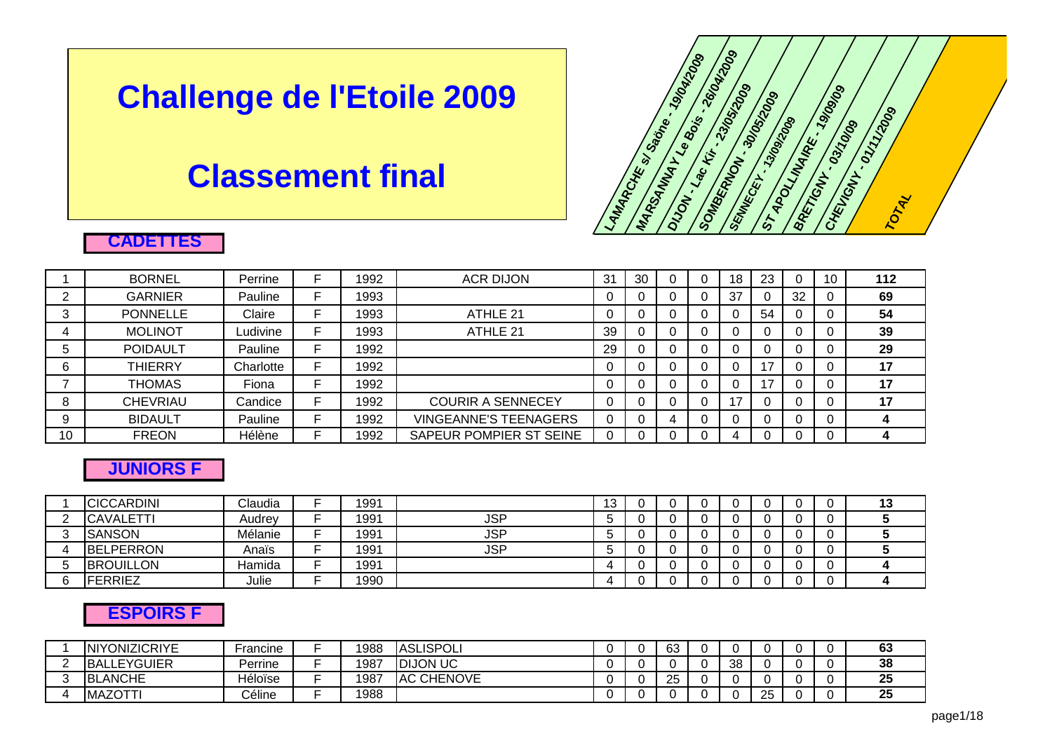# **Challenge de l'Etoile 2009**

## **Classement final**



#### **CADETTES**

|    | <b>BORNEL</b>   | Perrine   | 1992 | <b>ACR DIJON</b>             | 31 | 30 |  | 18 | 23 |    | 112 |
|----|-----------------|-----------|------|------------------------------|----|----|--|----|----|----|-----|
|    | <b>GARNIER</b>  | Pauline   | 1993 |                              |    |    |  | 37 |    | 32 | 69  |
| 3  | <b>PONNELLE</b> | Claire    | 1993 | ATHLE 21                     |    |    |  |    | 54 |    | 54  |
|    | <b>MOLINOT</b>  | Ludivine  | 1993 | ATHLE 21                     | 39 |    |  |    |    |    | 39  |
| ა  | <b>POIDAULT</b> | Pauline   | 1992 |                              | 29 |    |  |    |    |    | 29  |
| 6  | <b>THIERRY</b>  | Charlotte | 1992 |                              |    |    |  |    | 17 |    | 17  |
|    | <b>THOMAS</b>   | Fiona     | 1992 |                              |    |    |  |    | 17 |    | 17  |
| 8  | <b>CHEVRIAU</b> | Candice   | 1992 | <b>COURIR A SENNECEY</b>     |    |    |  | ᇧ  |    | 0  | 17  |
| 9  | <b>BIDAULT</b>  | Pauline   | 1992 | <b>VINGEANNE'S TEENAGERS</b> |    |    |  |    |    |    |     |
| 10 | <b>FREON</b>    | Hélène    | 1992 | SAPEUR POMPIER ST SEINE      |    |    |  |    |    |    |     |

#### **JUNIORS F**

|          | <b>CICCARDINI</b> | Claudia | 1991 |            | 13 |  |  |  | 13 |
|----------|-------------------|---------|------|------------|----|--|--|--|----|
| <u>.</u> | <b>CAVALETTI</b>  | Audrev  | 1991 | <b>JSP</b> |    |  |  |  |    |
|          | <b>SANSON</b>     | Mélanie | 1991 | <b>JSP</b> |    |  |  |  |    |
| 4        | <b>BELPERRON</b>  | Anaïs   | 1991 | <b>JSP</b> |    |  |  |  |    |
|          | <b>BROUILLON</b>  | Hamida  | 1991 |            |    |  |  |  |    |
|          | <b>FERRIEZ</b>    | Julie   | 1990 |            |    |  |  |  |    |

#### **ESPOIRS F**

| <b>INIYONIZICRIYE</b> | Francine | 988  | <b>ASLISPOLI</b>      |  | 63 |    |     |  | ^^<br>ნა             |
|-----------------------|----------|------|-----------------------|--|----|----|-----|--|----------------------|
| <b>BALLEYGUIER</b>    | Perrine  | 1987 | <b>IDIJON UC</b>      |  |    | 38 |     |  | 38                   |
| <b>BLANCHE</b>        | Héloïse  | 1987 | <b>CHENOVE</b><br>.AC |  | 25 |    |     |  | $\mathbf{f}$<br>- 20 |
| ᄭᅎᄉᆍᆍ<br><b>IMAZO</b> | Céline   | 1988 |                       |  |    |    | OF. |  | or.<br>ΖJ            |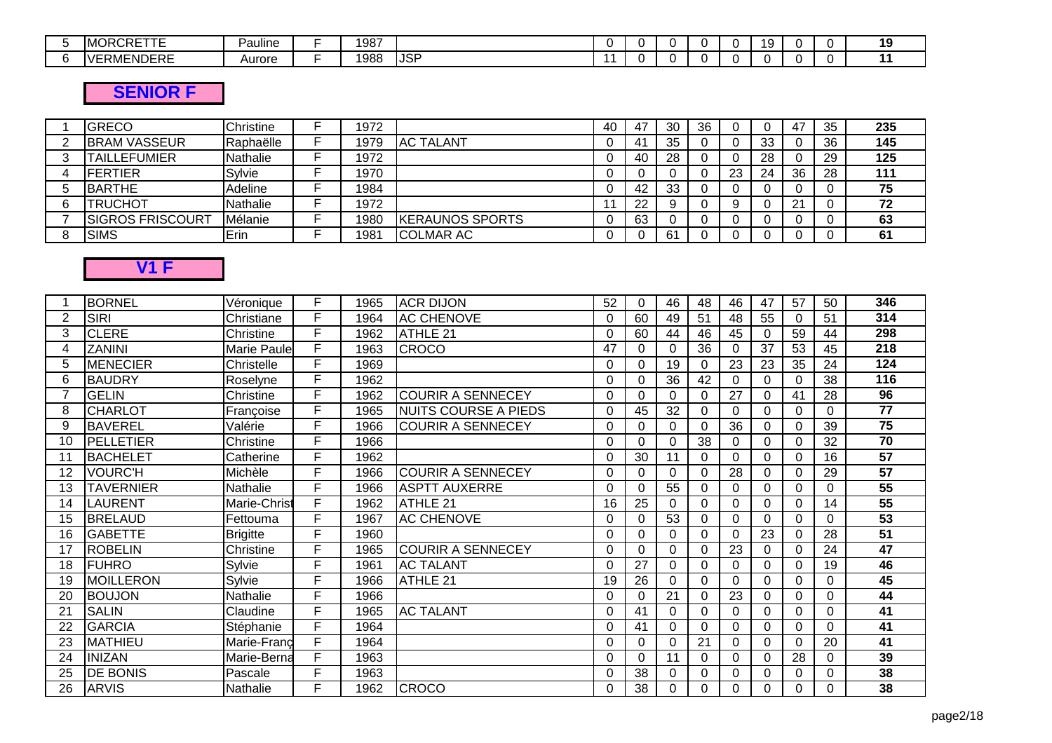| IN.<br>. .<br>ப∟<br>.<br>$\cdot$ . One in<br>'I \ J<br>I I V<br>--- | .<br>-<br>Pauline | 1987 |             |  |  |  |  | 40 |
|---------------------------------------------------------------------|-------------------|------|-------------|--|--|--|--|----|
| RMENDERE<br>$\mathbf{v}$                                            | Aurore            | 988  | <b>IJSP</b> |  |  |  |  |    |

## **SENIOR F**

| <b>GRECO</b>            | Christine | 1972 |                        | 40 | 47 | 30 | 36 |    |    | 47       | 35 | 235 |
|-------------------------|-----------|------|------------------------|----|----|----|----|----|----|----------|----|-----|
| <b>BRAM VASSEUR</b>     | Raphaëlle | 1979 | <b>AC TALANT</b>       |    | 41 | 35 |    |    | 33 |          | 36 | 145 |
| <b>TAILLEFUMIER</b>     | Nathalie  | 1972 |                        |    | 40 | 28 |    |    | 28 |          | 29 | 125 |
| IFERTIER                | Sylvie    | 1970 |                        |    |    |    |    | 23 | 24 | 36       | 28 | 111 |
| <b>BARTHE</b>           | Adeline   | 1984 |                        |    | 42 | 33 |    |    |    |          |    | 75  |
| <b>TRUCHOT</b>          | Nathalie  | 1972 |                        |    | າາ |    |    |    |    | $\Omega$ |    | 72  |
| <b>SIGROS FRISCOURT</b> | Mélanie   | 1980 | <b>KERAUNOS SPORTS</b> |    | 63 |    |    |    |    |          |    | 63  |
| <b>SIMS</b>             | Erin      | 1981 | <b>COLMAR AC</b>       |    |    | 61 |    |    |    |          |    | 61  |

## **V1 F**

|    | <b>BORNEL</b>    | Véronique          | F  | 1965 | <b>ACR DIJON</b>            | 52       | 0               | 46              | 48       | 46       | 47       | 57       | 50 | 346             |
|----|------------------|--------------------|----|------|-----------------------------|----------|-----------------|-----------------|----------|----------|----------|----------|----|-----------------|
| 2  | <b>SIRI</b>      | Christiane         | F  | 1964 | <b>AC CHENOVE</b>           | 0        | 60              | 49              | 51       | 48       | 55       | 0        | 51 | 314             |
| 3  | <b>CLERE</b>     | Christine          | F  | 1962 | ATHLE 21                    | $\Omega$ | 60              | 44              | 46       | 45       | $\Omega$ | 59       | 44 | 298             |
| 4  | ZANINI           | <b>Marie Paule</b> | F  | 1963 | <b>CROCO</b>                | 47       | 0               | 0               | 36       | 0        | 37       | 53       | 45 | 218             |
| 5  | <b>MENECIER</b>  | Christelle         | F  | 1969 |                             | $\Omega$ | 0               | 19              | $\Omega$ | 23       | 23       | 35       | 24 | 124             |
| 6  | <b>BAUDRY</b>    | Roselyne           | F  | 1962 |                             | $\Omega$ | 0               | 36              | 42       | 0        | $\Omega$ | 0        | 38 | 116             |
|    | <b>GELIN</b>     | Christine          | F  | 1962 | <b>COURIR A SENNECEY</b>    | 0        | 0               | 0               | 0        | 27       | $\Omega$ | 41       | 28 | $\overline{96}$ |
| 8  | <b>CHARLOT</b>   | Françoise          | F. | 1965 | <b>NUITS COURSE A PIEDS</b> | 0        | 45              | 32              | 0        | 0        | $\Omega$ | 0        | 0  | $\overline{77}$ |
| 9  | <b>BAVEREL</b>   | Valérie            | F  | 1966 | <b>COURIR A SENNECEY</b>    | $\Omega$ | 0               | 0               | $\Omega$ | 36       | $\Omega$ | $\Omega$ | 39 | $\overline{75}$ |
| 10 | <b>PELLETIER</b> | Christine          | F  | 1966 |                             | 0        | 0               | 0               | 38       | 0        | $\Omega$ | 0        | 32 | $\overline{70}$ |
| 11 | <b>BACHELET</b>  | Catherine          | F  | 1962 |                             | 0        | 30              | 11              | 0        | 0        | 0        | 0        | 16 | 57              |
| 12 | <b>VOURC'H</b>   | Michèle            | F  | 1966 | <b>COURIR A SENNECEY</b>    | $\Omega$ | 0               | 0               | $\Omega$ | 28       | 0        | 0        | 29 | 57              |
| 13 | <b>TAVERNIER</b> | <b>Nathalie</b>    | E  | 1966 | <b>ASPTT AUXERRE</b>        | $\Omega$ | 0               | $\overline{55}$ | 0        | $\Omega$ | $\Omega$ |          | 0  | 55              |
| 14 | <b>LAURENT</b>   | Marie-Christ       | F  | 1962 | ATHLE 21                    | 16       | $2\overline{5}$ | 0               | $\Omega$ | 0        | $\Omega$ | 0        | 14 | 55              |
| 15 | <b>BRELAUD</b>   | Fettouma           | F  | 1967 | <b>AC CHENOVE</b>           | $\Omega$ | 0               | 53              | $\Omega$ | $\Omega$ | 0        | 0        | 0  | 53              |
| 16 | <b>GABETTE</b>   | <b>Brigitte</b>    | F  | 1960 |                             | 0        | 0               | 0               | $\Omega$ | 0        | 23       | 0        | 28 | $\overline{51}$ |
| 17 | <b>ROBELIN</b>   | Christine          | Е  | 1965 | <b>COURIR A SENNECEY</b>    | 0        | 0               | 0               | 0        | 23       | 0        | 0        | 24 | 47              |
| 18 | IFUHRO           | Sylvie             | F  | 1961 | <b>AC TALANT</b>            | $\Omega$ | 27              | 0               | $\Omega$ | 0        | 0        |          | 19 | 46              |
| 19 | <b>MOILLERON</b> | Sylvie             | Е  | 1966 | ATHLE 21                    | 19       | 26              | $\Omega$        | $\Omega$ | $\Omega$ | $\Omega$ | 0        | 0  | 45              |
| 20 | <b>BOUJON</b>    | Nathalie           | F  | 1966 |                             | $\Omega$ | 0               | 21              | $\Omega$ | 23       | $\Omega$ | $\Omega$ | 0  | 44              |
| 21 | <b>SALIN</b>     | Claudine           | F  | 1965 | <b>AC TALANT</b>            | $\Omega$ | 41              | 0               | $\Omega$ | 0        | 0        | $\Omega$ | 0  | 41              |
| 22 | <b>GARCIA</b>    | Stéphanie          | F  | 1964 |                             | $\Omega$ | 41              | $\Omega$        | $\Omega$ | 0        | $\Omega$ | 0        | 0  | 41              |
| 23 | <b>MATHIEU</b>   | Marie-Franc        | F  | 1964 |                             | $\Omega$ | 0               | 0               | 21       | $\Omega$ | $\Omega$ | 0        | 20 | 41              |
| 24 | <b>INIZAN</b>    | Marie-Berna        | F  | 1963 |                             | $\Omega$ | $\Omega$        | 11              | $\Omega$ | $\Omega$ | 0        | 28       | 0  | 39              |
| 25 | <b>DE BONIS</b>  | Pascale            | F  | 1963 |                             | C        | 38              | $\Omega$        | $\Omega$ | 0        | $\Omega$ |          | 0  | 38              |
| 26 | <b>ARVIS</b>     | Nathalie           | F  | 1962 | <b>CROCO</b>                | 0        | 38              | 0               | $\Omega$ | 0        | 0        | 0        | 0  | 38              |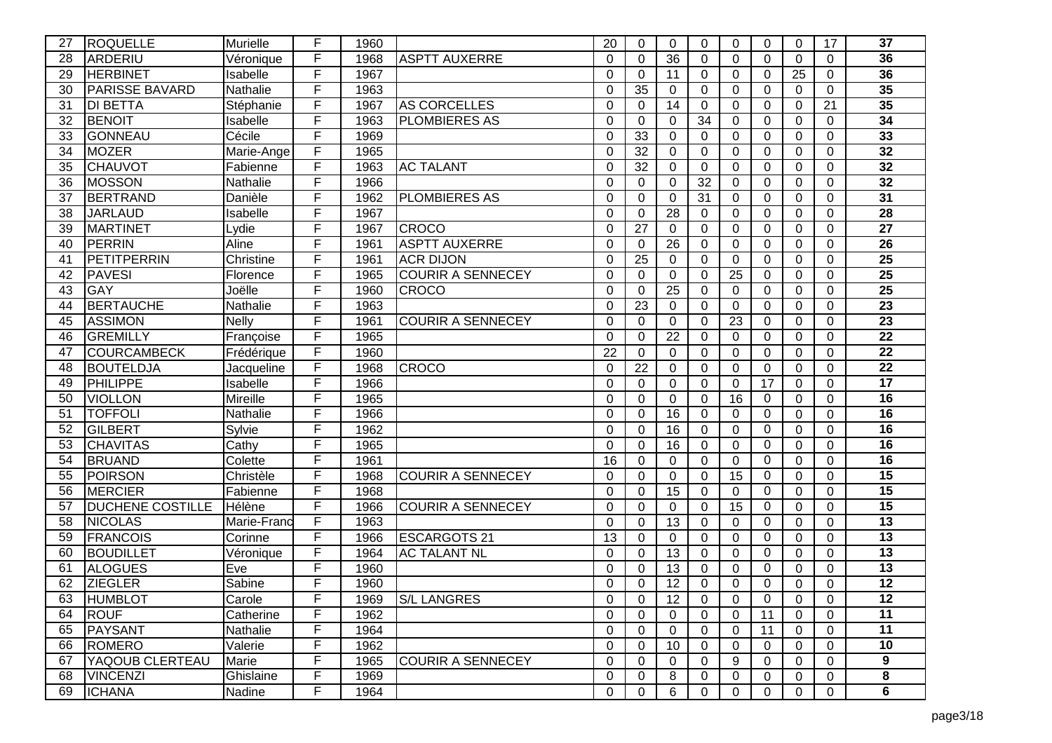| 27 | ROQUELLE                | Murielle     | F | 1960 |                          | 20       | $\Omega$     | $\Omega$        | 0               | $\Omega$       | $\Omega$        | $\Omega$ | 17             | 37              |
|----|-------------------------|--------------|---|------|--------------------------|----------|--------------|-----------------|-----------------|----------------|-----------------|----------|----------------|-----------------|
| 28 | ARDERIU                 | Véronique    | F | 1968 | <b>ASPTT AUXERRE</b>     | $\Omega$ | $\Omega$     | 36              | 0               | $\Omega$       | $\Omega$        | $\Omega$ | $\Omega$       | 36              |
| 29 | <b>HERBINET</b>         | Isabelle     | F | 1967 |                          | $\Omega$ | 0            | 11              | 0               | $\overline{0}$ | $\Omega$        | 25       | $\mathbf 0$    | 36              |
| 30 | <b>PARISSE BAVARD</b>   | Nathalie     | F | 1963 |                          | $\Omega$ | 35           | $\Omega$        | 0               | $\Omega$       | $\Omega$        | $\Omega$ | $\mathbf 0$    | 35              |
| 31 | <b>DI BETTA</b>         | Stéphanie    | F | 1967 | <b>AS CORCELLES</b>      | $\Omega$ | $\Omega$     | 14              | 0               | $\Omega$       | $\Omega$        | $\Omega$ | 21             | 35              |
| 32 | <b>BENOIT</b>           | Isabelle     | F | 1963 | <b>PLOMBIERES AS</b>     | $\Omega$ | $\Omega$     | $\overline{0}$  | 34              | $\Omega$       | $\Omega$        | 0        | $\Omega$       | 34              |
| 33 | GONNEAU                 | Cécile       | F | 1969 |                          | $\Omega$ | 33           | $\overline{0}$  | 0               | $\mathbf 0$    | $\overline{0}$  | 0        | $\mathbf 0$    | 33              |
| 34 | <b>MOZER</b>            | Marie-Ange   | F | 1965 |                          | $\Omega$ | 32           | $\overline{0}$  | 0               | 0              | $\Omega$        | 0        | $\mathbf 0$    | 32              |
| 35 | <b>CHAUVOT</b>          | Fabienne     | F | 1963 | <b>AC TALANT</b>         | $\Omega$ | 32           | $\overline{0}$  | 0               | $\Omega$       | $\Omega$        | 0        | $\mathbf 0$    | 32              |
| 36 | <b>MOSSON</b>           | Nathalie     | F | 1966 |                          | $\Omega$ | $\Omega$     | $\Omega$        | $\overline{32}$ | $\Omega$       | $\Omega$        | $\Omega$ | $\Omega$       | $\overline{32}$ |
| 37 | BERTRAND                | Danièle      | F | 1962 | <b>PLOMBIERES AS</b>     | $\Omega$ | $\mathbf 0$  | $\overline{0}$  | $\overline{31}$ | $\overline{0}$ | $\Omega$        | 0        | $\overline{0}$ | $\overline{31}$ |
| 38 | <b>JARLAUD</b>          | Isabelle     | F | 1967 |                          | $\Omega$ | 0            | 28              | 0               | 0              | $\Omega$        | 0        | $\Omega$       | 28              |
| 39 | <b>MARTINET</b>         | Lydie        | F | 1967 | <b>CROCO</b>             | $\Omega$ | 27           | $\Omega$        | 0               | 0              | $\Omega$        | 0        | $\mathbf 0$    | $\overline{27}$ |
| 40 | PERRIN                  | Aline        | F | 1961 | <b>ASPTT AUXERRE</b>     | $\Omega$ | 0            | 26              | 0               | $\Omega$       | $\Omega$        | $\Omega$ | $\Omega$       | 26              |
| 41 | <b>PETITPERRIN</b>      | Christine    | F | 1961 | <b>ACR DIJON</b>         | $\Omega$ | 25           | $\Omega$        | 0               | $\Omega$       | $\Omega$        | $\Omega$ | $\Omega$       | $\overline{25}$ |
| 42 | <b>PAVESI</b>           | Florence     | F | 1965 | <b>COURIR A SENNECEY</b> | $\Omega$ | $\Omega$     | $\mathbf 0$     | 0               | 25             | $\Omega$        | 0        | $\Omega$       | $\overline{25}$ |
| 43 | <b>GAY</b>              | Joëlle       | F | 1960 | <b>CROCO</b>             | $\Omega$ | $\Omega$     | 25              | 0               | $\Omega$       | $\Omega$        | $\Omega$ | $\Omega$       | $\overline{25}$ |
| 44 | <b>BERTAUCHE</b>        | Nathalie     | F | 1963 |                          | $\Omega$ | 23           | $\Omega$        | 0               | $\Omega$       | $\Omega$        | $\Omega$ | $\Omega$       | $\overline{23}$ |
| 45 | <b>ASSIMON</b>          | <b>Nelly</b> | F | 1961 | <b>COURIR A SENNECEY</b> | $\Omega$ | $\Omega$     | $\overline{0}$  | 0               | 23             | $\mathbf 0$     | 0        | $\overline{0}$ | $\overline{23}$ |
| 46 | <b>GREMILLY</b>         | Françoise    | F | 1965 |                          | $\Omega$ | 0            | 22              | 0               | 0              | $\Omega$        | 0        | $\Omega$       | $\overline{22}$ |
| 47 | <b>COURCAMBECK</b>      | Frédérique   | F | 1960 |                          | 22       | $\mathbf 0$  | $\mathbf 0$     | 0               | 0              | $\Omega$        | $\Omega$ | $\mathbf 0$    | $\overline{22}$ |
| 48 | <b>BOUTELDJA</b>        | Jacqueline   | F | 1968 | <b>CROCO</b>             | 0        | 22           | $\Omega$        | 0               | $\Omega$       | $\Omega$        | $\Omega$ | $\Omega$       | $\overline{22}$ |
| 49 | PHILIPPE                | Isabelle     | F | 1966 |                          | $\Omega$ | $\mathbf{0}$ | $\overline{0}$  | 0               | $\mathbf 0$    | $\overline{17}$ | 0        | $\mathbf 0$    | $\overline{17}$ |
| 50 | <b>VIOLLON</b>          | Mireille     | F | 1965 |                          | 0        | $\mathbf 0$  | $\overline{0}$  | 0               | 16             | $\Omega$        | 0        | $\mathbf 0$    | $\overline{16}$ |
| 51 | <b>TOFFOLI</b>          | Nathalie     | F | 1966 |                          | $\Omega$ | 0            | $\overline{16}$ | 0               | 0              | $\Omega$        | 0        | $\overline{0}$ | 16              |
| 52 | GILBERT                 | Sylvie       | F | 1962 |                          | $\Omega$ | $\Omega$     | 16              | 0               | $\Omega$       | $\Omega$        | 0        | $\overline{0}$ | $\overline{16}$ |
| 53 | <b>CHAVITAS</b>         | Cathy        | F | 1965 |                          | $\Omega$ | $\Omega$     | 16              | 0               | $\Omega$       | $\Omega$        | $\Omega$ | $\Omega$       | $\overline{16}$ |
| 54 | <b>BRUAND</b>           | Colette      | F | 1961 |                          | 16       | $\mathbf 0$  | $\Omega$        | 0               | $\mathbf 0$    | $\mathbf 0$     | 0        | $\Omega$       | 16              |
| 55 | <b>POIRSON</b>          | Christèle    | F | 1968 | <b>COURIR A SENNECEY</b> | 0        | 0            | 0               | 0               | 15             | 0               | 0        | 0              | $\overline{15}$ |
| 56 | <b>MERCIER</b>          | Fabienne     | F | 1968 |                          | $\Omega$ | $\Omega$     | 15              | 0               | $\Omega$       | $\Omega$        | $\Omega$ | $\Omega$       | $\overline{15}$ |
| 57 | <b>DUCHENE COSTILLE</b> | Hélène       | F | 1966 | <b>COURIR A SENNECEY</b> | $\Omega$ | $\Omega$     | 0               | 0               | 15             | 0               | $\Omega$ | $\Omega$       | $\overline{15}$ |
| 58 | <b>NICOLAS</b>          | Marie-Franc  | F | 1963 |                          | $\Omega$ | $\Omega$     | 13              | 0               | $\Omega$       | $\Omega$        | 0        | $\mathbf 0$    | $\overline{13}$ |
| 59 | <b>FRANCOIS</b>         | Corinne      | F | 1966 | <b>ESCARGOTS 21</b>      | 13       | $\Omega$     | $\Omega$        | 0               | $\Omega$       | $\Omega$        | 0        | $\Omega$       | $\overline{13}$ |
| 60 | <b>BOUDILLET</b>        | Véronique    | F | 1964 | <b>AC TALANT NL</b>      | $\Omega$ | $\Omega$     | 13              | 0               | $\Omega$       | $\Omega$        | $\Omega$ | $\Omega$       | $\overline{13}$ |
| 61 | <b>ALOGUES</b>          | Eve          | F | 1960 |                          | 0        | $\Omega$     | 13              | 0               | $\Omega$       | $\Omega$        | 0        | 0              | 13              |
| 62 | <b>ZIEGLER</b>          | Sabine       | F | 1960 |                          | 0        | $\Omega$     | $\overline{12}$ | 0               | $\Omega$       | $\Omega$        | 0        | $\Omega$       | 12              |
| 63 | <b>HUMBLOT</b>          | Carole       | F | 1969 | <b>S/L LANGRES</b>       | 0        | $\mathbf 0$  | 12              | 0               | 0              | 0               | 0        | 0              | 12              |
| 64 | <b>ROUF</b>             | Catherine    | F | 1962 |                          | $\Omega$ | $\mathbf{0}$ | $\Omega$        | 0               | $\Omega$       | 11              | $\Omega$ | $\Omega$       | 11              |
| 65 | PAYSANT                 | Nathalie     | F | 1964 |                          | 0        | $\mathbf 0$  | 0               | 0               | 0              | 11              | 0        | $\mathbf 0$    | 11              |
| 66 | <b>ROMERO</b>           | Valerie      | F | 1962 |                          | 0        | 0            | 10              | 0               | 0              | 0               | 0        | $\mathbf 0$    | $\overline{10}$ |
| 67 | YAQOUB CLERTEAU         | Marie        | F | 1965 | <b>COURIR A SENNECEY</b> | 0        | $\mathbf 0$  | 0               | 0               | 9              | $\Omega$        | 0        | $\mathbf 0$    | 9               |
| 68 | <b>VINCENZI</b>         | Ghislaine    | F | 1969 |                          | 0        | $\mathbf 0$  | 8               | 0               | 0              | $\Omega$        | 0        | 0              | 8               |
| 69 | <b>ICHANA</b>           | Nadine       | F | 1964 |                          | 0        | 0            | 6               | 0               | 0              | $\Omega$        | 0        | 0              | 6               |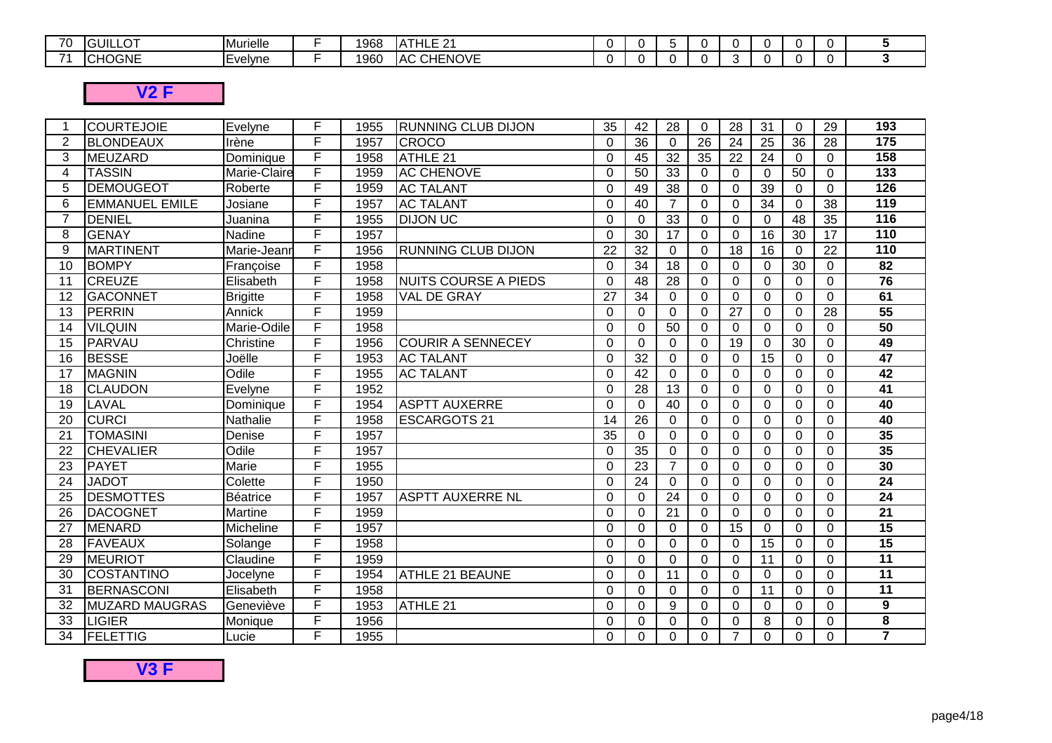| 70<br>7 U                | . <b>. .</b><br>LÜ.<br>1 L J L | <b>IMurielle</b> | 968 | <b>ULE 04</b><br>$\cdot$<br>---- |  |  |  |  |  |
|--------------------------|--------------------------------|------------------|-----|----------------------------------|--|--|--|--|--|
| $\overline{\phantom{a}}$ | $\sqrt{ }$<br>GNI!<br>¬៶       | . .<br>Evelvne   | 960 | <b>CHENOVE</b><br>IAC.           |  |  |  |  |  |

## **V2 F**

| -1             | <b>COURTEJOIE</b>     | Evelyne         | F | 1955 | <b>RUNNING CLUB DIJON</b>   | 35       | 42              | 28              | $\Omega$ | 28             | 31              | $\Omega$        | 29          | 193              |
|----------------|-----------------------|-----------------|---|------|-----------------------------|----------|-----------------|-----------------|----------|----------------|-----------------|-----------------|-------------|------------------|
| $\overline{2}$ | <b>BLONDEAUX</b>      | Irène           | F | 1957 | <b>CROCO</b>                | $\Omega$ | 36              | $\Omega$        | 26       | 24             | 25              | 36              | 28          | 175              |
| 3              | MEUZARD               | Dominique       | F | 1958 | ATHLE 21                    | $\Omega$ | 45              | 32              | 35       | 22             | 24              | $\Omega$        | $\Omega$    | 158              |
| 4              | <b>TASSIN</b>         | Marie-Claire    | F | 1959 | <b>AC CHENOVE</b>           | $\Omega$ | 50              | $\overline{33}$ | $\Omega$ | $\overline{0}$ | $\mathbf 0$     | 50              | $\Omega$    | $\overline{133}$ |
| 5              | <b>DEMOUGEOT</b>      | Roberte         | F | 1959 | <b>AC TALANT</b>            | $\Omega$ | 49              | 38              | $\Omega$ | 0              | 39              | $\Omega$        | $\Omega$    | $\frac{1}{26}$   |
| 6              | <b>EMMANUEL EMILE</b> | Josiane         | F | 1957 | <b>AC TALANT</b>            | $\Omega$ | 40              | $\overline{7}$  | $\Omega$ | $\Omega$       | 34              | $\Omega$        | 38          | 119              |
| $\overline{7}$ | DENIEL                | Juanina         | F | 1955 | <b>DIJON UC</b>             | $\Omega$ | $\Omega$        | 33              | $\Omega$ | $\Omega$       | $\Omega$        | 48              | 35          | 116              |
| 8              | <b>GENAY</b>          | Nadine          | F | 1957 |                             | $\Omega$ | 30              | 17              | $\Omega$ | $\overline{0}$ | $\overline{16}$ | 30              | 17          | 110              |
| 9              | <b>MARTINENT</b>      | Marie-Jeann     | F | 1956 | <b>RUNNING CLUB DIJON</b>   | 22       | 32              | $\Omega$        | $\Omega$ | 18             | 16              | $\Omega$        | 22          | $\overline{110}$ |
| 10             | <b>BOMPY</b>          | Françoise       | F | 1958 |                             | $\Omega$ | 34              | $\overline{18}$ | $\Omega$ | $\Omega$       | $\Omega$        | 30              | $\Omega$    | $\overline{82}$  |
| 11             | <b>CREUZE</b>         | Elisabeth       | F | 1958 | <b>NUITS COURSE A PIEDS</b> | $\Omega$ | 48              | 28              | $\Omega$ | 0              | 0               | 0               | $\Omega$    | $\overline{76}$  |
| 12             | <b>GACONNET</b>       | <b>Brigitte</b> | F | 1958 | VAL DE GRAY                 | 27       | 34              | $\Omega$        | $\Omega$ | 0              | $\Omega$        | 0               | $\Omega$    | 61               |
| 13             | PERRIN                | Annick          | F | 1959 |                             | $\Omega$ | $\Omega$        | $\Omega$        | $\Omega$ | 27             | $\Omega$        | $\Omega$        | 28          | 55               |
| 14             | <b>VILQUIN</b>        | Marie-Odile     | F | 1958 |                             | $\Omega$ | $\Omega$        | $\overline{50}$ | 0        | $\Omega$       | $\Omega$        | $\Omega$        | $\Omega$    | 50               |
| 15             | PARVAU                | Christine       | F | 1956 | <b>COURIR A SENNECEY</b>    | $\Omega$ | $\overline{0}$  | $\Omega$        | $\Omega$ | 19             | 0               | $\overline{30}$ | $\Omega$    | 49               |
| 16             | <b>BESSE</b>          | Joëlle          | F | 1953 | <b>AC TALANT</b>            | $\Omega$ | $\overline{32}$ | $\overline{0}$  | $\Omega$ | 0              | $\overline{15}$ | $\Omega$        | $\Omega$    | 47               |
| 17             | <b>MAGNIN</b>         | Odile           | F | 1955 | <b>AC TALANT</b>            | $\Omega$ | $\overline{42}$ | $\Omega$        | $\Omega$ | $\Omega$       | $\Omega$        | $\Omega$        | $\Omega$    | 42               |
| 18             | <b>CLAUDON</b>        | Evelyne         | E | 1952 |                             | $\Omega$ | 28              | 13              | $\Omega$ | $\Omega$       | $\mathbf 0$     | 0               | $\Omega$    | $\overline{41}$  |
| 19             | LAVAL                 | Dominique       | F | 1954 | <b>ASPTT AUXERRE</b>        | $\Omega$ | $\overline{0}$  | $\overline{40}$ | $\Omega$ | $\overline{0}$ | 0               | $\Omega$        | $\mathbf 0$ | 40               |
| 20             | <b>CURCI</b>          | Nathalie        | F | 1958 | <b>ESCARGOTS 21</b>         | 14       | 26              | $\Omega$        | $\Omega$ | $\Omega$       | $\Omega$        | $\Omega$        | $\Omega$    | 40               |
| 21             | <b>TOMASINI</b>       | Denise          | F | 1957 |                             | 35       | $\Omega$        | $\Omega$        | $\Omega$ | $\Omega$       | $\Omega$        | $\Omega$        | $\Omega$    | 35               |
| 22             | <b>CHEVALIER</b>      | Odile           | F | 1957 |                             | $\Omega$ | 35              | $\Omega$        | $\Omega$ | $\Omega$       | $\Omega$        | $\Omega$        | $\Omega$    | 35               |
| 23             | <b>PAYET</b>          | Marie           | F | 1955 |                             | 0        | 23              | $\overline{7}$  | $\Omega$ | 0              | $\Omega$        | 0               | $\Omega$    | 30               |
| 24             | <b>JADOT</b>          | Colette         | F | 1950 |                             | $\Omega$ | 24              | $\Omega$        | $\Omega$ | $\Omega$       | $\Omega$        | $\Omega$        | $\Omega$    | $\overline{24}$  |
| 25             | DESMOTTES             | Béatrice        | F | 1957 | <b>ASPTT AUXERRE NL</b>     | $\Omega$ | $\Omega$        | 24              | 0        | $\Omega$       | 0               | $\Omega$        | $\Omega$    | $\overline{24}$  |
| 26             | DACOGNET              | Martine         | F | 1959 |                             | $\Omega$ | 0               | 21              | $\Omega$ | 0              | 0               | $\Omega$        | $\Omega$    | $\overline{21}$  |
| 27             | <b>MENARD</b>         | Micheline       | F | 1957 |                             | $\Omega$ | $\Omega$        | $\Omega$        | $\Omega$ | 15             | $\mathbf 0$     | $\Omega$        | $\Omega$    | $\overline{15}$  |
| 28             | <b>FAVEAUX</b>        | Solange         | F | 1958 |                             | $\Omega$ | $\Omega$        | $\Omega$        | $\Omega$ | $\Omega$       | 15              | $\Omega$        | $\Omega$    | 15               |
| 29             | <b>MEURIOT</b>        | Claudine        | F | 1959 |                             | $\Omega$ | $\Omega$        | $\mathbf 0$     | $\Omega$ | $\Omega$       | 11              | 0               | $\Omega$    | 11               |
| 30             | <b>COSTANTINO</b>     | Jocelyne        | F | 1954 | <b>ATHLE 21 BEAUNE</b>      | $\Omega$ | $\Omega$        | 11              | $\Omega$ | $\Omega$       | $\Omega$        | $\Omega$        | $\Omega$    | $\overline{11}$  |
| 31             | BERNASCONI            | Elisabeth       | F | 1958 |                             | $\Omega$ | $\Omega$        | $\Omega$        | $\Omega$ | $\Omega$       | 11              | $\Omega$        | $\Omega$    | $\overline{11}$  |
| 32             | <b>MUZARD MAUGRAS</b> | Geneviève       | F | 1953 | ATHLE 21                    | $\Omega$ | $\Omega$        | 9               | $\Omega$ | $\Omega$       | $\Omega$        | $\Omega$        | $\Omega$    | 9                |
| 33             | <b>LIGIER</b>         | Monique         | F | 1956 |                             | $\Omega$ | $\Omega$        | $\overline{0}$  | $\Omega$ | $\Omega$       | 8               | $\Omega$        | $\Omega$    | 8                |
| 34             | <b>FELETTIG</b>       | Lucie           | F | 1955 |                             | $\Omega$ | $\Omega$        | $\Omega$        | 0        | $\overline{7}$ | $\Omega$        | 0               | $\Omega$    | $\overline{7}$   |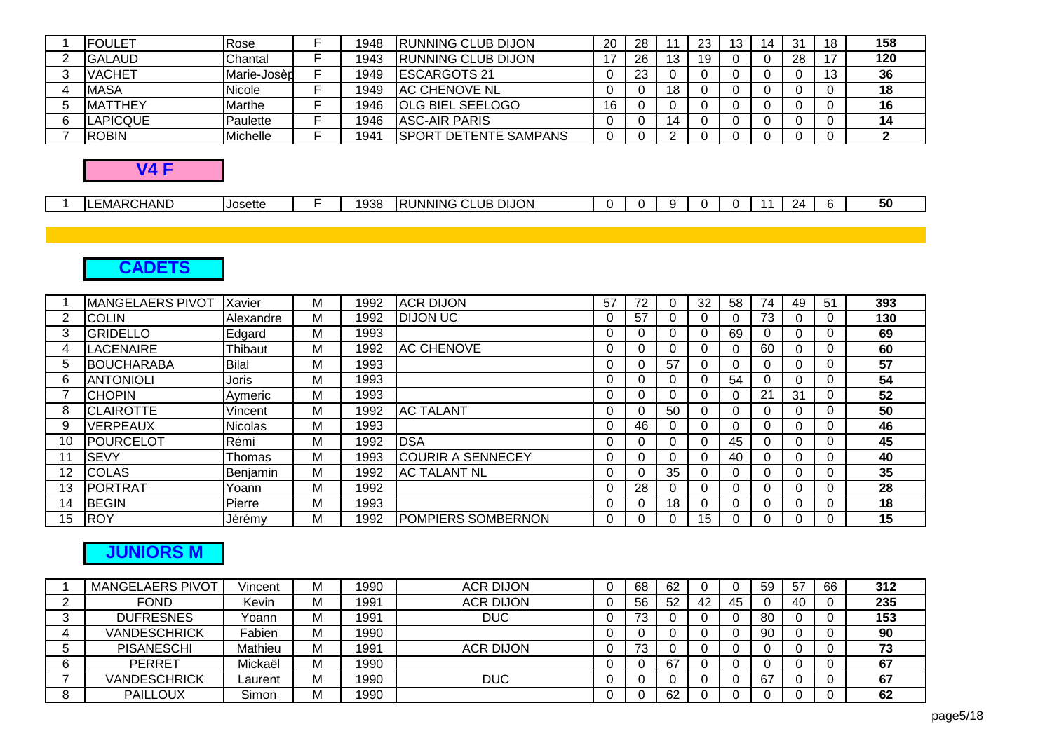| <b>FOULET</b>   | Rose        | 1948 | <b>RUNNING CLUB DIJON</b>     | 20 | 28 |   | 23 | 14 | 31 | 18 | 158 |
|-----------------|-------------|------|-------------------------------|----|----|---|----|----|----|----|-----|
| <b>IGALAUD</b>  | Chantal     | 1943 | <b>IRUNNING CLUB DIJON</b>    |    | 26 |   | 19 |    | 28 |    | 120 |
| <b>VACHET</b>   | Marie-Josèp | 1949 | <b>IESCARGOTS 21</b>          |    | 23 |   |    |    |    |    | 36  |
| <b>MASA</b>     | Nicole      | 1949 | <b>IAC CHENOVE NL</b>         |    |    |   |    |    |    |    | 18  |
| <b>IMATTHEY</b> | Marthe      | 1946 | <b>OLG BIEL SEELOGO</b>       | 16 |    |   |    |    |    |    | 16  |
| <b>LAPICQUE</b> | Paulette    | 1946 | <b>JASC-AIR PARIS</b>         |    |    | ॱ |    |    |    |    | 14  |
| <b>ROBIN</b>    | Michelle    | 1941 | <b>ISPORT DETENTE SAMPANS</b> |    |    |   |    |    |    |    |     |
|                 |             |      |                               |    |    |   |    |    |    |    |     |

#### **V4 F**

| ∟∟MAP'<br>1Д<br>ີ<br>.<br>$\sim$ $\sim$<br>ъ.<br>- |  | .<br>ਾਪCHAND | <b>Josette</b> | $\sim$ | ء ص | ں IJON<br>.UB<br>$\overline{\mathsf{NNNC}}$<br>ורח |  |  |  |  |  |  |  |  | 50 |
|----------------------------------------------------|--|--------------|----------------|--------|-----|----------------------------------------------------|--|--|--|--|--|--|--|--|----|
|----------------------------------------------------|--|--------------|----------------|--------|-----|----------------------------------------------------|--|--|--|--|--|--|--|--|----|

## **CADETS**

|    | <b>MANGELAERS PIVOT</b> | Xavier         | М | 1992 | <b>ACR DIJON</b>          | 57 | 72 | U        | 32 | 58       | 74       | 49 | 51 | 393 |
|----|-------------------------|----------------|---|------|---------------------------|----|----|----------|----|----------|----------|----|----|-----|
| 2  | <b>COLIN</b>            | Alexandre      | м | 1992 | <b>DIJON UC</b>           |    | 57 |          |    | 0        | 73       |    |    | 130 |
| 3  | <b>GRIDELLO</b>         | Edgard         | М | 1993 |                           |    |    | U        |    | 69       | 0        |    |    | 69  |
| 4  | LACENAIRE               | Thibaut        | М | 1992 | <b>AC CHENOVE</b>         |    |    | U        |    | $\Omega$ | 60       |    |    | 60  |
| 5  | <b>BOUCHARABA</b>       | <b>Bilal</b>   | М | 1993 |                           |    |    | 57       |    | $\Omega$ | 0        |    |    | 57  |
| 6  | <b>ANTONIOLI</b>        | <b>Joris</b>   | М | 1993 |                           |    |    | U        |    | 54       | 0        |    |    | 54  |
|    | <b>ICHOPIN</b>          | Aymeric        | м | 1993 |                           |    |    |          |    | 0        | 21       | 31 |    | 52  |
| 8  | <b>CLAIROTTE</b>        | Vincent        | M | 1992 | <b>AC TALANT</b>          |    |    | 50       |    | 0        | 0        |    |    | 50  |
| 9  | VERPEAUX                | <b>Nicolas</b> | M | 1993 |                           |    | 46 | U        |    | 0        | 0        |    |    | 46  |
| 10 | POURCELOT               | Rémi           | М | 1992 | <b>DSA</b>                |    |    | $\Omega$ |    | 45       | 0        |    |    | 45  |
| 11 | <b>SEVY</b>             | <b>IThomas</b> | Μ | 1993 | <b>COURIR A SENNECEY</b>  |    |    |          |    | 40       | 0        |    |    | 40  |
| 12 | <b>ICOLAS</b>           | Benjamin       | М | 1992 | <b>AC TALANT NL</b>       |    |    | 35       |    | 0        | 0        |    |    | 35  |
| 13 | <b>PORTRAT</b>          | Yoann          | М | 1992 |                           |    | 28 |          |    | 0        |          |    |    | 28  |
| 14 | <b>BEGIN</b>            | Pierre         | м | 1993 |                           |    |    | 18       |    | 0        | 0        |    |    | 18  |
| 15 | <b>ROY</b>              | Jérémy         | М | 1992 | <b>POMPIERS SOMBERNON</b> |    |    | O        | 15 | 0        | $\Omega$ |    |    | 15  |

## **JUNIORS M**

| <b>MANGELAERS PIVOT</b> | Vincent | М | 1990 | <b>ACR DIJON</b> | 68 | 62 |     |    | 59  | 57  | 66 | 312 |
|-------------------------|---------|---|------|------------------|----|----|-----|----|-----|-----|----|-----|
| <b>FOND</b>             | Kevin   | M | 1991 | <b>ACR DIJON</b> | 56 | 52 | -42 | 45 |     | -40 |    | 235 |
| <b>DUFRESNES</b>        | Yoann   | М | 1991 | <b>DUC</b>       | 73 |    |     |    | -80 |     |    | 153 |
| <b>VANDESCHRICK</b>     | Fabien  | M | 1990 |                  |    |    |     |    | 90  |     |    | 90  |
| <b>PISANESCHI</b>       | Mathieu | M | 1991 | <b>ACR DIJON</b> | 73 |    |     |    |     |     |    | 73  |
| <b>PERRET</b>           | Mickaël | M | 1990 |                  |    | 67 |     |    |     |     |    | 67  |
| <b>VANDESCHRICK</b>     | Laurent | M | 1990 | <b>DUC</b>       |    |    |     |    | 67  |     |    | 67  |
| <b>PAILLOUX</b>         | Simon   | М | 1990 |                  |    | 62 |     |    |     |     |    | 62  |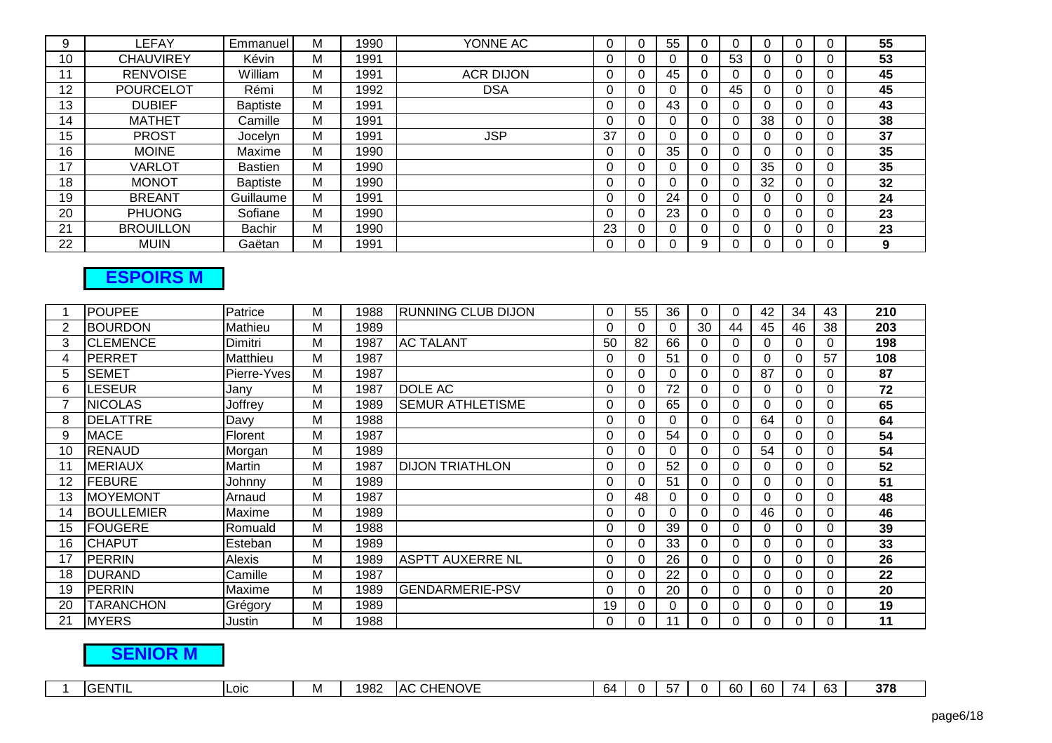| 9  | LEFAY            | Emmanuel        | М | 1990 | YONNE AC         | 0        | 55 |   |    |    |          | 55 |
|----|------------------|-----------------|---|------|------------------|----------|----|---|----|----|----------|----|
| 10 | <b>CHAUVIREY</b> | Kévin           | М | 1991 |                  | 0        |    |   | 53 |    |          | 53 |
|    | <b>RENVOISE</b>  | William         | М | 1991 | <b>ACR DIJON</b> | 0        | 45 |   |    |    |          | 45 |
| 12 | <b>POURCELOT</b> | Rémi            | М | 1992 | <b>DSA</b>       | 0        |    |   | 45 |    |          | 45 |
| 13 | <b>DUBIEF</b>    | <b>Baptiste</b> | м | 1991 |                  | 0        | 43 |   |    |    | 0        | 43 |
| 14 | <b>MATHET</b>    | Camille         | М | 1991 |                  | 0        |    |   |    | 38 |          | 38 |
| 15 | <b>PROST</b>     | Jocelyn         | М | 1991 | <b>JSP</b>       | 37       |    |   |    |    |          | 37 |
| 16 | <b>MOINE</b>     | Maxime          | м | 1990 |                  | 0        | 35 |   |    |    |          | 35 |
| 17 | VARLOT           | <b>Bastien</b>  | М | 1990 |                  | 0        |    |   |    | 35 |          | 35 |
| 18 | <b>MONOT</b>     | <b>Baptiste</b> | м | 1990 |                  | 0        |    |   |    | 32 | $\Omega$ | 32 |
| 19 | <b>BREANT</b>    | Guillaume       | м | 1991 |                  | 0        | 24 |   |    |    |          | 24 |
| 20 | <b>PHUONG</b>    | Sofiane         | М | 1990 |                  | $\Omega$ | 23 |   |    |    | $\Omega$ | 23 |
| 21 | <b>BROUILLON</b> | Bachir          | м | 1990 |                  | 23       |    |   |    |    |          | 23 |
| 22 | <b>MUIN</b>      | Gaëtan          | М | 1991 |                  | 0        |    | 9 |    |    |          | 9  |

## **ESPOIRS M**

|    | <b>POUPEE</b>     | Patrice       | М | 1988 | <b>RUNNING CLUB DIJON</b> | 0        | 55       | 36 | $\Omega$ | 0        | 42 | 34 | 43 | 210 |
|----|-------------------|---------------|---|------|---------------------------|----------|----------|----|----------|----------|----|----|----|-----|
| 2  | <b>BOURDON</b>    | Mathieu       | М | 1989 |                           |          | 0        | 0  | 30       | 44       | 45 | 46 | 38 | 203 |
| 3  | <b>CLEMENCE</b>   | Dimitri       | М | 1987 | <b>AC TALANT</b>          | 50       | 82       | 66 | 0        | 0        |    |    |    | 198 |
| 4  | <b>PERRET</b>     | Matthieu      | М | 1987 |                           |          | 0        | 51 | 0        | $\Omega$ |    |    | 57 | 108 |
| 5  | <b>SEMET</b>      | Pierre-Yves   | М | 1987 |                           | $\Omega$ | 0        | 0  | 0        | $\Omega$ | 87 |    | 0  | 87  |
| 6  | LESEUR            | Jany          | М | 1987 | DOLE AC                   |          | $\Omega$ | 72 | 0        | $\Omega$ | 0  |    | 0  | 72  |
|    | <b>NICOLAS</b>    | Joffrey       | М | 1989 | <b>SEMUR ATHLETISME</b>   |          | $\Omega$ | 65 | 0        | $\Omega$ |    |    |    | 65  |
| 8  | <b>DELATTRE</b>   | Davy          | М | 1988 |                           | 0        | 0        | 0  | 0        | $\Omega$ | 64 |    | U  | 64  |
| 9  | <b>MACE</b>       | Florent       | М | 1987 |                           | $\Omega$ | 0        | 54 | 0        | $\Omega$ |    |    | U  | 54  |
| 10 | <b>RENAUD</b>     | Morgan        | М | 1989 |                           |          | O        | 0  | 0        | $\Omega$ | 54 |    | ∩  | 54  |
| 11 | <b>MERIAUX</b>    | <b>Martin</b> | М | 1987 | <b>DIJON TRIATHLON</b>    |          | $\Omega$ | 52 | 0        | $\Omega$ |    |    |    | 52  |
| 12 | <b>FEBURE</b>     | Johnny        | М | 1989 |                           | 0        | $\Omega$ | 51 | 0        | $\Omega$ |    |    | 0  | 51  |
| 13 | <b>MOYEMONT</b>   | Arnaud        | М | 1987 |                           |          | 48       |    | 0        | 0        |    |    |    | 48  |
| 14 | <b>BOULLEMIER</b> | Maxime        | М | 1989 |                           |          | 0        | 0  |          | $\Omega$ | 46 |    |    | 46  |
| 15 | <b>FOUGERE</b>    | Romuald       | М | 1988 |                           |          | $\Omega$ | 39 | O        | 0        |    |    |    | 39  |
| 16 | <b>CHAPUT</b>     | Esteban       | М | 1989 |                           |          | $\Omega$ | 33 |          |          |    |    |    | 33  |
| 17 | <b>PERRIN</b>     | Alexis        | М | 1989 | <b>ASPTT AUXERRE NL</b>   |          | 0        | 26 | 0        | 0        |    |    |    | 26  |
| 18 | <b>IDURAND</b>    | Camille       | М | 1987 |                           |          | $\Omega$ | 22 | 0        | 0        |    |    |    | 22  |
| 19 | PERRIN            | Maxime        | М | 1989 | <b>GENDARMERIE-PSV</b>    |          | $\Omega$ | 20 | 0        | 0        |    |    |    | 20  |
| 20 | TARANCHON         | Grégory       | М | 1989 |                           | 19       |          |    |          |          |    |    |    | 19  |
| 21 | <b>MYERS</b>      | Justin        | М | 1988 |                           |          |          | 11 |          |          |    |    |    | 11  |

## **SENIOR M**

| 378<br><b>CHENOVE</b><br>GENTIL<br>60<br>1982<br>63<br>-64<br>'AC<br>LOIC<br>M<br>-60<br>74<br>ີ |
|--------------------------------------------------------------------------------------------------|
|--------------------------------------------------------------------------------------------------|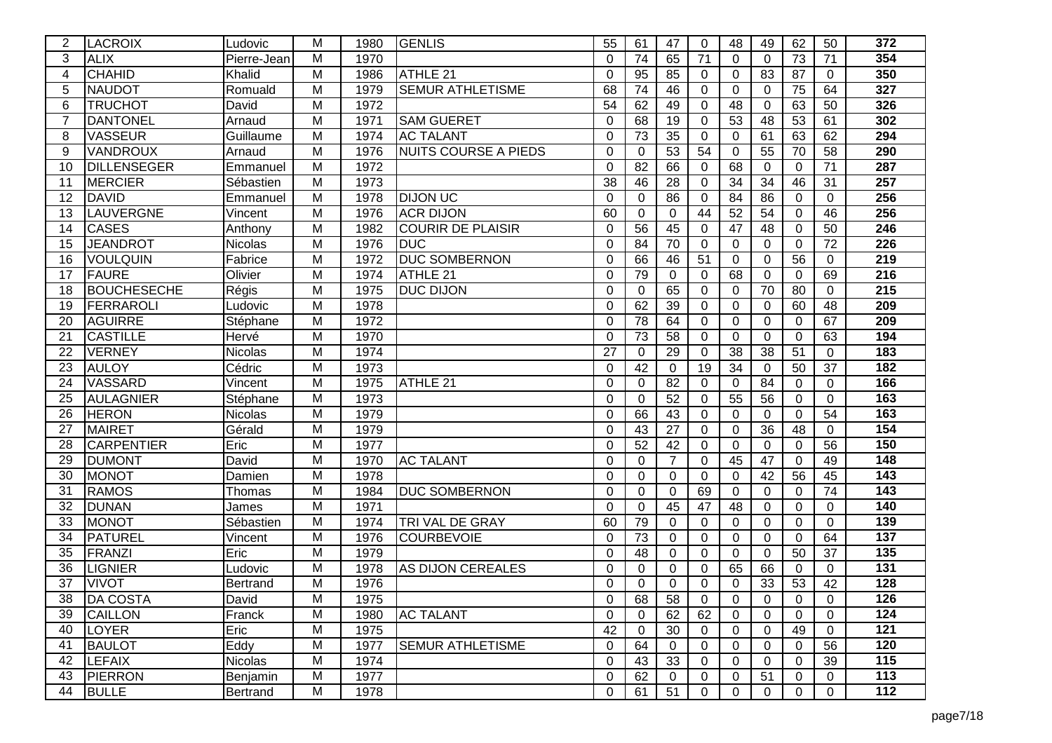| $\overline{2}$ | <b>LACROIX</b>     | Ludovic        | М              | 1980 | <b>GENLIS</b>               | 55              | 61       | 47              | 0               | 48             | 49              | 62              | 50             | 372              |
|----------------|--------------------|----------------|----------------|------|-----------------------------|-----------------|----------|-----------------|-----------------|----------------|-----------------|-----------------|----------------|------------------|
| 3              | <b>ALIX</b>        | Pierre-Jean    | M              | 1970 |                             | $\Omega$        | 74       | 65              | 71              | $\Omega$       | $\Omega$        | 73              | 71             | 354              |
| 4              | <b>CHAHID</b>      | Khalid         | M              | 1986 | ATHLE 21                    | $\Omega$        | 95       | 85              | 0               | 0              | 83              | 87              | $\Omega$       | 350              |
| 5              | <b>NAUDOT</b>      | Romuald        | М              | 1979 | <b>SEMUR ATHLETISME</b>     | 68              | 74       | 46              | 0               | 0              | $\Omega$        | 75              | 64             | 327              |
| 6              | <b>TRUCHOT</b>     | David          | М              | 1972 |                             | 54              | 62       | 49              | $\Omega$        | 48             | $\Omega$        | 63              | 50             | 326              |
| $\overline{7}$ | <b>DANTONEL</b>    | Arnaud         | Μ              | 1971 | <b>SAM GUERET</b>           | $\Omega$        | 68       | 19              | 0               | 53             | 48              | 53              | 61             | 302              |
| 8              | <b>VASSEUR</b>     | Guillaume      | M              | 1974 | <b>AC TALANT</b>            | $\Omega$        | 73       | 35              | 0               | $\Omega$       | 61              | 63              | 62             | 294              |
| -9             | VANDROUX           | Arnaud         | М              | 1976 | <b>NUITS COURSE A PIEDS</b> | $\mathbf 0$     | 0        | 53              | 54              | 0              | 55              | 70              | 58             | 290              |
| 10             | <b>DILLENSEGER</b> | Emmanuel       | M              | 1972 |                             | $\Omega$        | 82       | 66              | 0               | 68             | $\Omega$        | 0               | 71             | 287              |
| 11             | <b>MERCIER</b>     | Sébastien      | M              | 1973 |                             | 38              | 46       | 28              | 0               | 34             | 34              | 46              | 31             | 257              |
| 12             | <b>DAVID</b>       | Emmanuel       | M              | 1978 | <b>DIJON UC</b>             | $\Omega$        | $\Omega$ | $\overline{86}$ | $\Omega$        | 84             | $\overline{86}$ | 0               | $\overline{0}$ | 256              |
| 13             | LAUVERGNE          | Vincent        | M              | 1976 | <b>ACR DIJON</b>            | 60              | 0        | 0               | 44              | 52             | 54              | 0               | 46             | 256              |
| 14             | <b>CASES</b>       | Anthony        | M              | 1982 | <b>COURIR DE PLAISIR</b>    | 0               | 56       | 45              | 0               | 47             | 48              | 0               | 50             | $\overline{246}$ |
| 15             | <b>JEANDROT</b>    | <b>Nicolas</b> | М              | 1976 | <b>DUC</b>                  | $\Omega$        | 84       | 70              | 0               | $\Omega$       | 0               | 0               | 72             | 226              |
| 16             | <b>VOULQUIN</b>    | Fabrice        | M              | 1972 | <b>DUC SOMBERNON</b>        | $\Omega$        | 66       | 46              | $\overline{51}$ | 0              | $\Omega$        | 56              | $\Omega$       | 219              |
| 17             | <b>FAURE</b>       | Olivier        | М              | 1974 | ATHLE 21                    | 0               | 79       | 0               | 0               | 68             | $\Omega$        | 0               | 69             | $\overline{216}$ |
| 18             | <b>BOUCHESECHE</b> | Régis          | М              | 1975 | DUC DIJON                   | 0               | $\Omega$ | 65              | $\Omega$        | $\Omega$       | 70              | 80              | $\Omega$       | $\overline{215}$ |
| 19             | <b>FERRAROLI</b>   | Ludovic        | М              | 1978 |                             | $\Omega$        | 62       | 39              | 0               | $\Omega$       | $\Omega$        | 60              | 48             | 209              |
| 20             | <b>AGUIRRE</b>     | Stéphane       | M              | 1972 |                             | $\Omega$        | 78       | 64              | $\Omega$        | $\Omega$       | $\mathbf 0$     | 0               | 67             | 209              |
| 21             | <b>CASTILLE</b>    | Hervé          | M              | 1970 |                             | 0               | 73       | 58              | 0               | 0              | $\Omega$        | 0               | 63             | 194              |
| 22             | <b>VERNEY</b>      | Nicolas        | М              | 1974 |                             | $\overline{27}$ | 0        | 29              | 0               | 38             | $\overline{38}$ | $\overline{51}$ | $\mathbf 0$    | 183              |
| 23             | <b>AULOY</b>       | Cédric         | Μ              | 1973 |                             | 0               | 42       | $\Omega$        | 19              | 34             | $\Omega$        | 50              | 37             | 182              |
| 24             | <b>VASSARD</b>     | Vincent        | M              | 1975 | ATHLE 21                    | $\Omega$        | $\Omega$ | $\overline{82}$ | $\Omega$        | $\Omega$       | 84              | 0               | $\Omega$       | 166              |
| 25             | <b>AULAGNIER</b>   | Stéphane       | M              | 1973 |                             | 0               | 0        | 52              | 0               | 55             | 56              | 0               | $\mathbf 0$    | 163              |
| 26             | <b>HERON</b>       | Nicolas        | М              | 1979 |                             | 0               | 66       | 43              | 0               | 0              | $\Omega$        | 0               | 54             | 163              |
| 27             | <b>MAIRET</b>      | Gérald         | M              | 1979 |                             | $\Omega$        | 43       | 27              | $\Omega$        | $\Omega$       | 36              | 48              | $\Omega$       | 154              |
| 28             | <b>CARPENTIER</b>  | Eric           | M              | 1977 |                             | $\Omega$        | 52       | 42              | $\Omega$        | $\Omega$       | $\Omega$        | $\Omega$        | 56             | 150              |
| 29             | <b>DUMONT</b>      | David          | M              | 1970 | <b>AC TALANT</b>            | $\Omega$        | $\Omega$ | $\overline{7}$  | $\Omega$        | 45             | 47              | 0               | 49             | 148              |
| 30             | <b>MONOT</b>       | Damien         | М              | 1978 |                             | 0               | 0        | $\Omega$        | 0               | $\Omega$       | 42              | 56              | 45             | 143              |
| 31             | <b>RAMOS</b>       | Thomas         | М              | 1984 | <b>DUC SOMBERNON</b>        | $\Omega$        | $\Omega$ | $\Omega$        | 69              | $\Omega$       | $\Omega$        | $\Omega$        | 74             | $\frac{1}{143}$  |
| 32             | <b>DUNAN</b>       | James          | M              | 1971 |                             | $\Omega$        | $\Omega$ | 45              | 47              | 48             | $\Omega$        | 0               | $\Omega$       | 140              |
| 33             | <b>MONOT</b>       | Sébastien      | M              | 1974 | TRI VAL DE GRAY             | 60              | 79       | $\Omega$        | 0               | $\Omega$       | 0               | $\Omega$        | $\Omega$       | 139              |
| 34             | <b>PATUREL</b>     | Vincent        | М              | 1976 | <b>COURBEVOIE</b>           | $\Omega$        | 73       | $\Omega$        | 0               | $\Omega$       | $\Omega$        | 0               | 64             | 137              |
| 35             | <b>FRANZI</b>      | Eric           | М              | 1979 |                             | $\Omega$        | 48       | $\Omega$        | 0               | $\Omega$       | $\Omega$        | 50              | 37             | 135              |
| 36             | LIGNIER            | Ludovic        | М              | 1978 | AS DIJON CEREALES           | $\Omega$        | 0        | $\Omega$        | 0               | 65             | 66              | 0               | 0              | 131              |
| 37             | <b>VIVOT</b>       | Bertrand       | M              | 1976 |                             | $\Omega$        | $\Omega$ | 0               | 0               | $\Omega$       | 33              | 53              | 42             | 128              |
| 38             | <b>DA COSTA</b>    | David          | M              | 1975 |                             | 0               | 68       | 58              | 0               | 0              | 0               | 0               | 0              | 126              |
| 39             | <b>CAILLON</b>     | Franck         | M              | 1980 | <b>AC TALANT</b>            | $\mathbf 0$     | $\Omega$ | 62              | 62              | 0              | $\Omega$        | $\Omega$        | $\Omega$       | 124              |
| 40             | <b>LOYER</b>       | Eric           | M              | 1975 |                             | 42              | 0        | 30              | 0               | $\overline{0}$ | 0               | 49              | $\mathbf 0$    | 121              |
| 41             | <b>BAULOT</b>      | Eddy           | $\overline{M}$ | 1977 | <b>SEMUR ATHLETISME</b>     | 0               | 64       | 0               | 0               | 0              | 0               | 0               | 56             | 120              |
| 42             | <b>LEFAIX</b>      | Nicolas        | M              | 1974 |                             | $\Omega$        | 43       | 33              | 0               | $\overline{0}$ | 0               | 0               | 39             | $\overline{115}$ |
| 43             | <b>PIERRON</b>     | Benjamin       | M              | 1977 |                             | 0               | 62       | 0               | 0               | 0              | 51              | 0               | $\mathbf 0$    | 113              |
| 44             | <b>BULLE</b>       | Bertrand       | M              | 1978 |                             | 0               | 61       | 51              | 0               | 0              | 0               | 0               | 0              | 112              |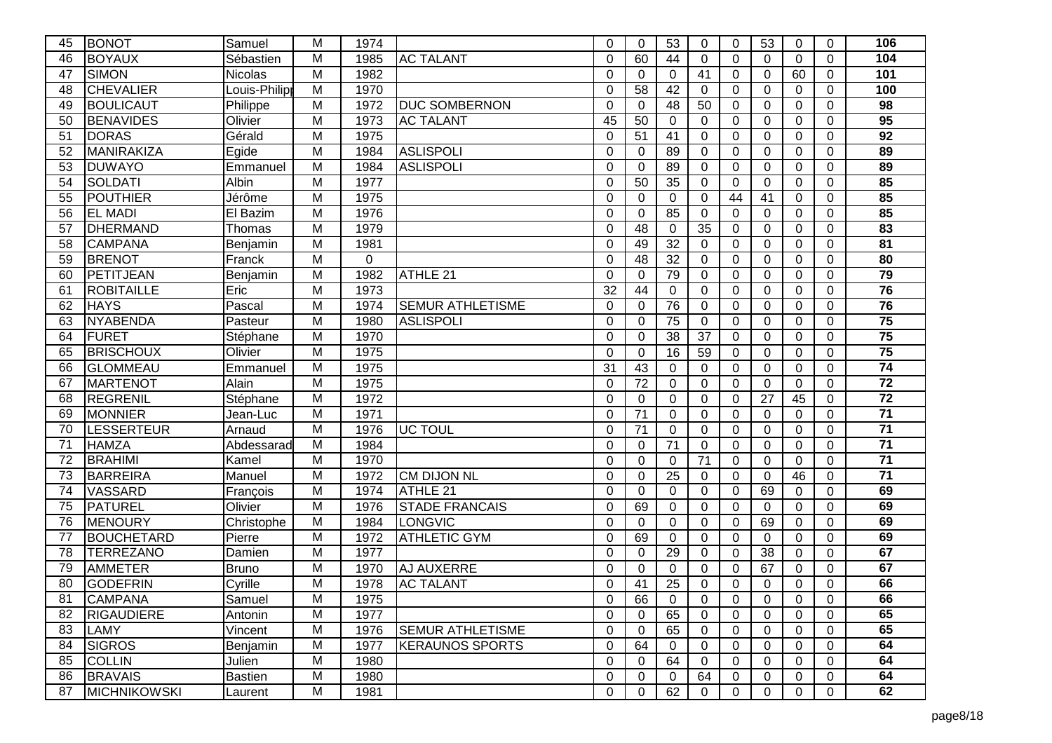| 45 | <b>BONOT</b>        | Samuel        | М                       | 1974     |                         | $\Omega$    | $\Omega$    | 53              | 0               | $\Omega$       | 53              | 0           | $\Omega$       | 106             |
|----|---------------------|---------------|-------------------------|----------|-------------------------|-------------|-------------|-----------------|-----------------|----------------|-----------------|-------------|----------------|-----------------|
| 46 | <b>BOYAUX</b>       | Sébastien     | М                       | 1985     | <b>AC TALANT</b>        | $\Omega$    | 60          | 44              | 0               | $\Omega$       | $\Omega$        | $\Omega$    | $\Omega$       | 104             |
| 47 | <b>SIMON</b>        | Nicolas       | M                       | 1982     |                         | $\Omega$    | 0           | $\Omega$        | 41              | $\mathbf 0$    | $\mathbf 0$     | 60          | $\Omega$       | 101             |
| 48 | <b>CHEVALIER</b>    | Louis-Philipp | Μ                       | 1970     |                         | 0           | 58          | 42              | 0               | 0              | $\Omega$        | 0           | $\Omega$       | 100             |
| 49 | <b>BOULICAUT</b>    | Philippe      | M                       | 1972     | <b>DUC SOMBERNON</b>    | $\Omega$    | $\Omega$    | 48              | 50              | $\Omega$       | $\overline{0}$  | $\Omega$    | $\Omega$       | 98              |
| 50 | <b>BENAVIDES</b>    | Olivier       | M                       | 1973     | <b>AC TALANT</b>        | 45          | 50          | $\Omega$        | 0               | $\Omega$       | $\overline{0}$  | $\mathbf 0$ | $\Omega$       | 95              |
| 51 | <b>DORAS</b>        | Gérald        | M                       | 1975     |                         | $\Omega$    | 51          | 41              | $\mathbf 0$     | $\mathbf 0$    | $\overline{0}$  | 0           | $\mathbf 0$    | 92              |
| 52 | MANIRAKIZA          | Egide         | M                       | 1984     | <b>ASLISPOLI</b>        | $\Omega$    | 0           | 89              | $\Omega$        | $\mathbf 0$    | $\mathbf 0$     | 0           | $\mathbf 0$    | 89              |
| 53 | <b>DUWAYO</b>       | Emmanuel      | M                       | 1984     | <b>ASLISPOLI</b>        | $\Omega$    | 0           | 89              | $\Omega$        | 0              | $\Omega$        | $\Omega$    | $\mathbf 0$    | 89              |
| 54 | SOLDATI             | Albin         | M                       | 1977     |                         | 0           | 50          | 35              | $\Omega$        | $\Omega$       | $\Omega$        | $\Omega$    | $\Omega$       | 85              |
| 55 | POUTHIER            | Jérôme        | M                       | 1975     |                         | $\Omega$    | 0           | $\Omega$        | $\Omega$        | 44             | $\overline{41}$ | $\mathbf 0$ | $\overline{0}$ | 85              |
| 56 | <b>EL MADI</b>      | El Bazim      | Μ                       | 1976     |                         | 0           | 0           | 85              | $\Omega$        | 0              | 0               | 0           | $\mathbf 0$    | 85              |
| 57 | DHERMAND            | Thomas        | Μ                       | 1979     |                         | 0           | 48          | 0               | 35              | 0              | $\mathbf 0$     | 0           | $\mathbf 0$    | 83              |
| 58 | <b>CAMPANA</b>      | Benjamin      | M                       | 1981     |                         | $\Omega$    | 49          | $\overline{32}$ | $\Omega$        | $\Omega$       | $\mathbf 0$     | $\Omega$    | $\Omega$       | 81              |
| 59 | <b>BRENOT</b>       | Franck        | $\overline{M}$          | $\Omega$ |                         | $\Omega$    | 48          | $\overline{32}$ | $\Omega$        | $\Omega$       | $\overline{0}$  | $\Omega$    | $\Omega$       | 80              |
| 60 | PETITJEAN           | Benjamin      | M                       | 1982     | ATHLE <sub>21</sub>     | $\Omega$    | 0           | 79              | $\Omega$        | 0              | $\mathbf 0$     | 0           | $\mathbf 0$    | 79              |
| 61 | <b>ROBITAILLE</b>   | Eric          | M                       | 1973     |                         | 32          | 44          | $\Omega$        | $\Omega$        | $\Omega$       | $\Omega$        | 0           | $\Omega$       | 76              |
| 62 | <b>HAYS</b>         | Pascal        | M                       | 1974     | <b>SEMUR ATHLETISME</b> | $\Omega$    | $\Omega$    | 76              | $\Omega$        | $\Omega$       | $\Omega$        | 0           | $\Omega$       | 76              |
| 63 | <b>NYABENDA</b>     | Pasteur       | M                       | 1980     | <b>ASLISPOLI</b>        | $\Omega$    | 0           | 75              | $\overline{0}$  | $\overline{0}$ | $\overline{0}$  | 0           | $\overline{0}$ | $\overline{75}$ |
| 64 | <b>FURET</b>        | Stéphane      | Μ                       | 1970     |                         | 0           | 0           | 38              | $\overline{37}$ | 0              | 0               | 0           | $\mathbf 0$    | 75              |
| 65 | <b>BRISCHOUX</b>    | Olivier       | M                       | 1975     |                         | $\Omega$    | 0           | 16              | 59              | $\mathbf 0$    | $\Omega$        | 0           | $\Omega$       | $\overline{75}$ |
| 66 | <b>GLOMMEAU</b>     | Emmanuel      | M                       | 1975     |                         | 31          | 43          | $\Omega$        | $\Omega$        | $\Omega$       | $\overline{0}$  | $\Omega$    | $\Omega$       | $\overline{74}$ |
| 67 | MARTENOT            | Alain         | $\overline{\mathsf{M}}$ | 1975     |                         | $\Omega$    | 72          | 0               | $\overline{0}$  | $\mathbf 0$    | $\overline{0}$  | $\mathbf 0$ | $\mathbf 0$    | $\overline{72}$ |
| 68 | REGRENIL            | Stéphane      | M                       | 1972     |                         | $\mathbf 0$ | 0           | 0               | 0               | $\mathbf 0$    | $\overline{27}$ | 45          | $\mathbf 0$    | $\overline{72}$ |
| 69 | <b>MONNIER</b>      | Jean-Luc      | M                       | 1971     |                         | $\Omega$    | 71          | $\mathbf 0$     | $\Omega$        | 0              | 0               | 0           | $\mathbf 0$    | $\overline{71}$ |
| 70 | LESSERTEUR          | Arnaud        | M                       | 1976     | <b>UC TOUL</b>          | $\Omega$    | 71          | $\Omega$        | $\Omega$        | $\Omega$       | $\overline{0}$  | $\Omega$    | $\mathbf 0$    | $\overline{71}$ |
| 71 | <b>HAMZA</b>        | Abdessarad    | Μ                       | 1984     |                         | 0           | $\Omega$    | 71              | $\Omega$        | $\Omega$       | $\Omega$        | $\Omega$    | $\Omega$       | $\overline{71}$ |
| 72 | <b>BRAHIMI</b>      | Kamel         | M                       | 1970     |                         | $\Omega$    | $\mathbf 0$ | $\mathbf 0$     | 71              | $\mathbf 0$    | $\mathbf 0$     | $\mathbf 0$ | $\mathbf 0$    | $\overline{71}$ |
| 73 | <b>BARREIRA</b>     | Manuel        | Μ                       | 1972     | <b>CM DIJON NL</b>      | 0           | 0           | 25              | 0               | 0              | 0               | 46          | $\mathbf 0$    | $\overline{71}$ |
| 74 | <b>VASSARD</b>      | François      | M                       | 1974     | ATHLE 21                | 0           | $\mathbf 0$ | $\Omega$        | 0               | 0              | 69              | $\Omega$    | $\Omega$       | 69              |
| 75 | PATUREL             | Olivier       | M                       | 1976     | <b>STADE FRANCAIS</b>   | $\Omega$    | 69          | $\Omega$        | 0               | $\Omega$       | $\Omega$        | 0           | $\Omega$       | 69              |
| 76 | MENOURY             | Christophe    | M                       | 1984     | LONGVIC                 | $\Omega$    | $\Omega$    | $\Omega$        | $\Omega$        | $\Omega$       | 69              | 0           | $\Omega$       | 69              |
| 77 | <b>BOUCHETARD</b>   | Pierre        | M                       | 1972     | <b>ATHLETIC GYM</b>     | 0           | 69          | $\Omega$        | $\Omega$        | $\Omega$       | 0               | 0           | $\Omega$       | 69              |
| 78 | <b>TERREZANO</b>    | Damien        | M                       | 1977     |                         | 0           | $\Omega$    | 29              | 0               | $\Omega$       | 38              | 0           | $\Omega$       | 67              |
| 79 | <b>AMMETER</b>      | Bruno         | M                       | 1970     | <b>AJ AUXERRE</b>       | $\Omega$    | 0           | $\Omega$        | 0               | $\Omega$       | 67              | 0           | 0              | 67              |
| 80 | <b>GODEFRIN</b>     | Cyrille       | M                       | 1978     | <b>AC TALANT</b>        | $\Omega$    | 41          | 25              | $\Omega$        | $\overline{0}$ | $\mathbf 0$     | 0           | $\Omega$       | 66              |
| 81 | <b>CAMPANA</b>      | Samuel        | М                       | 1975     |                         | 0           | 66          | 0               | 0               | 0              | 0               | 0           | 0              | 66              |
| 82 | <b>RIGAUDIERE</b>   | Antonin       | M                       | 1977     |                         | $\mathbf 0$ | $\Omega$    | 65              | 0               | $\Omega$       | $\mathbf 0$     | 0           | $\Omega$       | 65              |
| 83 | <b>LAMY</b>         | Vincent       | M                       | 1976     | <b>SEMUR ATHLETISME</b> | 0           | 0           | 65              | 0               | $\mathbf 0$    | 0               | 0           | $\mathbf 0$    | 65              |
| 84 | <b>SIGROS</b>       | Benjamin      | $\overline{M}$          | 1977     | <b>KERAUNOS SPORTS</b>  | $\Omega$    | 64          | 0               | 0               | 0              | 0               | 0           | $\mathbf 0$    | 64              |
| 85 | <b>COLLIN</b>       | Julien        | M                       | 1980     |                         | 0           | 0           | 64              | 0               | 0              | 0               | 0           | $\mathbf 0$    | 64              |
| 86 | <b>BRAVAIS</b>      | Bastien       | M                       | 1980     |                         | 0           | 0           | 0               | 64              | $\mathbf 0$    | 0               | 0           | $\mathbf 0$    | 64              |
| 87 | <b>MICHNIKOWSKI</b> | Laurent       | M                       | 1981     |                         | 0           | 0           | 62              | 0               | 0              | 0               | 0           | 0              | 62              |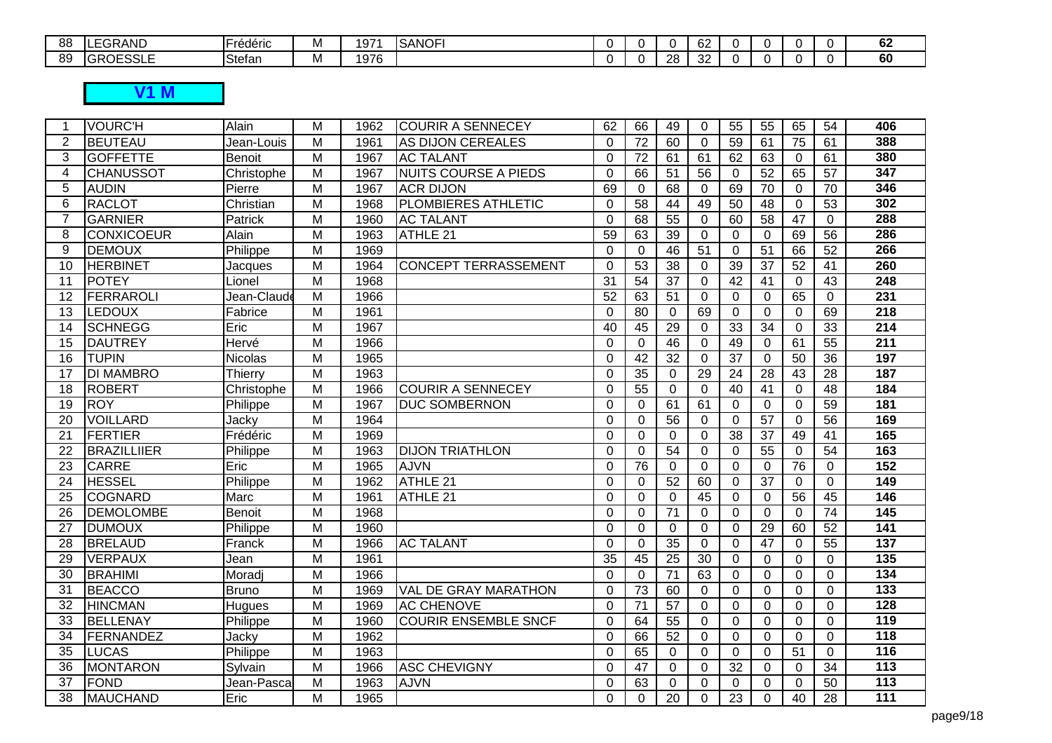| 88 | $\sim$<br>GRAND<br>. .                                                 | $-$<br>.<br>Frederic | .     | $-1$<br>$197^\circ$ | <b>SANOFI</b> |  |                | $\sim$<br>ν∠ |  |  | $\sim$<br>0Z |
|----|------------------------------------------------------------------------|----------------------|-------|---------------------|---------------|--|----------------|--------------|--|--|--------------|
| 89 | $\Omega$ $\Gamma$ $\Omega$ $\Omega$<br>⌒<br>ヽヽ<br>. .<br>υĸ<br>ヽ▽∟∪∪∟∟ | Stefan               | I V I | 1976                |               |  | ററ<br>∠∩<br>-- | $\sim$<br>ےں |  |  | 60           |
|    |                                                                        |                      |       |                     |               |  |                |              |  |  |              |

## **V1 M**

| -1              | <b>VOURC'H</b>     | Alain         | M              | 1962 | <b>COURIR A SENNECEY</b>    | 62              | 66              | 49              | $\Omega$        | 55              | 55              | 65              | 54              | 406              |
|-----------------|--------------------|---------------|----------------|------|-----------------------------|-----------------|-----------------|-----------------|-----------------|-----------------|-----------------|-----------------|-----------------|------------------|
| 2               | <b>BEUTEAU</b>     | Jean-Louis    | M              | 1961 | AS DIJON CEREALES           | $\Omega$        | 72              | 60              | $\Omega$        | 59              | 61              | 75              | 61              | 388              |
| 3               | <b>GOFFETTE</b>    | <b>Benoit</b> | M              | 1967 | <b>AC TALANT</b>            | $\Omega$        | 72              | 61              | 61              | 62              | 63              | $\mathbf 0$     | 61              | 380              |
| $\overline{4}$  | <b>CHANUSSOT</b>   | Christophe    | M              | 1967 | <b>NUITS COURSE A PIEDS</b> | $\Omega$        | 66              | 51              | 56              | $\mathbf 0$     | 52              | 65              | 57              | 347              |
| 5               | <b>AUDIN</b>       | Pierre        | M              | 1967 | <b>ACR DIJON</b>            | 69              | 0               | 68              | $\Omega$        | 69              | 70              | $\Omega$        | 70              | 346              |
| 6               | <b>RACLOT</b>      | Christian     | M              | 1968 | PLOMBIERES ATHLETIC         | $\Omega$        | $\overline{58}$ | 44              | 49              | 50              | 48              | $\mathbf 0$     | 53              | 302              |
| $\overline{7}$  | <b>GARNIER</b>     | Patrick       | M              | 1960 | <b>AC TALANT</b>            | $\Omega$        | 68              | 55              | $\mathbf 0$     | 60              | 58              | $\overline{47}$ | $\mathbf 0$     | 288              |
| 8               | CONXICOEUR         | Alain         | M              | 1963 | ATHLE 21                    | 59              | 63              | 39              | $\Omega$        | $\mathbf 0$     | $\mathbf 0$     | 69              | 56              | 286              |
| 9               | <b>DEMOUX</b>      | Philippe      | $\overline{M}$ | 1969 |                             | $\Omega$        | $\mathbf 0$     | $\overline{46}$ | $\overline{51}$ | $\overline{0}$  | 51              | 66              | $\overline{52}$ | 266              |
| 10              | <b>HERBINET</b>    | Jacques       | $\overline{M}$ | 1964 | <b>CONCEPT TERRASSEMENT</b> | $\Omega$        | 53              | $\overline{38}$ | $\Omega$        | 39              | $\overline{37}$ | $\overline{52}$ | 41              | 260              |
| 11              | <b>POTEY</b>       | Lionel        | M              | 1968 |                             | 31              | $\overline{54}$ | 37              | $\Omega$        | 42              | 41              | $\mathbf 0$     | 43              | 248              |
| 12              | FERRAROLI          | Jean-Claude   | $\overline{M}$ | 1966 |                             | $\overline{52}$ | 63              | $\overline{51}$ | $\mathbf 0$     | $\overline{0}$  | $\overline{0}$  | 65              | $\mathbf 0$     | 231              |
| 13              | LEDOUX             | Fabrice       | $\overline{M}$ | 1961 |                             | $\Omega$        | 80              | $\mathbf 0$     | 69              | $\overline{0}$  | 0               | $\overline{0}$  | 69              | 218              |
| 14              | <b>SCHNEGG</b>     | Eric          | M              | 1967 |                             | 40              | 45              | 29              | $\Omega$        | 33              | 34              | $\mathbf 0$     | 33              | $\overline{214}$ |
| 15              | <b>DAUTREY</b>     | Hervé         | M              | 1966 |                             | $\Omega$        | $\mathbf 0$     | $\overline{46}$ | $\Omega$        | 49              | $\Omega$        | 61              | 55              | 211              |
| $\overline{16}$ | <b>TUPIN</b>       | Nicolas       | $\overline{M}$ | 1965 |                             | $\Omega$        | 42              | $\overline{32}$ | $\mathbf 0$     | $\overline{37}$ | $\overline{0}$  | 50              | $\overline{36}$ | 197              |
| 17              | <b>DI MAMBRO</b>   | Thierry       | M              | 1963 |                             | $\Omega$        | 35              | $\Omega$        | 29              | 24              | 28              | 43              | 28              | 187              |
| 18              | <b>ROBERT</b>      | Christophe    | $\overline{M}$ | 1966 | <b>COURIR A SENNECEY</b>    | $\Omega$        | $\overline{55}$ | $\Omega$        | $\Omega$        | 40              | 41              | $\Omega$        | 48              | 184              |
| 19              | <b>ROY</b>         | Philippe      | $\overline{M}$ | 1967 | <b>DUC SOMBERNON</b>        | $\Omega$        | $\mathbf 0$     | 61              | 61              | $\mathbf 0$     | $\mathbf 0$     | $\Omega$        | 59              | 181              |
| 20              | <b>VOILLARD</b>    | Jacky         | $\overline{M}$ | 1964 |                             | $\Omega$        | $\Omega$        | $\overline{56}$ | $\Omega$        | 0               | $\overline{57}$ | $\Omega$        | 56              | 169              |
| $\overline{21}$ | <b>FERTIER</b>     | Frédéric      | $\overline{M}$ | 1969 |                             | $\Omega$        | $\mathbf 0$     | $\Omega$        | $\Omega$        | $\overline{38}$ | $\overline{37}$ | 49              | 41              | 165              |
| 22              | <b>BRAZILLIIER</b> | Philippe      | $\overline{M}$ | 1963 | <b>DIJON TRIATHLON</b>      | $\Omega$        | $\mathbf 0$     | $\overline{54}$ | $\Omega$        | $\overline{0}$  | $\overline{55}$ | $\mathbf 0$     | $\overline{54}$ | 163              |
| 23              | <b>CARRE</b>       | Eric          | M              | 1965 | <b>AJVN</b>                 | $\Omega$        | 76              | $\Omega$        | $\Omega$        | 0               | $\Omega$        | 76              | $\Omega$        | 152              |
| $\overline{24}$ | <b>HESSEL</b>      | Philippe      | $\overline{M}$ | 1962 | ATHLE 21                    | $\Omega$        | $\mathbf 0$     | $\overline{52}$ | 60              | $\overline{0}$  | $\overline{37}$ | $\Omega$        | $\Omega$        | 149              |
| 25              | <b>COGNARD</b>     | Marc          | M              | 1961 | ATHLE 21                    | $\Omega$        | $\Omega$        | $\Omega$        | 45              | $\overline{0}$  | $\mathbf 0$     | 56              | 45              | 146              |
| 26              | <b>DEMOLOMBE</b>   | <b>Benoit</b> | M              | 1968 |                             | $\Omega$        | $\mathbf 0$     | 71              | $\mathbf 0$     | $\overline{0}$  | $\overline{0}$  | $\mathbf 0$     | 74              | 145              |
| 27              | <b>DUMOUX</b>      | Philippe      | M              | 1960 |                             | $\Omega$        | $\Omega$        | $\Omega$        | $\Omega$        | $\overline{0}$  | $\overline{29}$ | 60              | 52              | 141              |
| 28              | <b>BRELAUD</b>     | Franck        | M              | 1966 | <b>AC TALANT</b>            | $\Omega$        | 0               | $\overline{35}$ | $\mathbf 0$     | $\overline{0}$  | 47              | $\overline{0}$  | 55              | $\overline{137}$ |
| 29              | <b>VERPAUX</b>     | Jean          | M              | 1961 |                             | 35              | 45              | $\overline{25}$ | $\overline{30}$ | $\mathbf 0$     | $\mathbf 0$     | 0               | $\Omega$        | $\overline{135}$ |
| 30              | <b>BRAHIMI</b>     | Moradj        | M              | 1966 |                             | $\Omega$        | $\mathbf 0$     | $\overline{71}$ | 63              | $\overline{0}$  | $\overline{0}$  | $\overline{0}$  | $\overline{0}$  | 134              |
| 31              | <b>BEACCO</b>      | <b>Bruno</b>  | M              | 1969 | VAL DE GRAY MARATHON        | $\Omega$        | 73              | 60              | $\mathbf 0$     | $\overline{0}$  | $\overline{0}$  | $\overline{0}$  | $\mathbf 0$     | $\overline{133}$ |
| 32              | <b>HINCMAN</b>     | Hugues        | M              | 1969 | <b>AC CHENOVE</b>           | $\Omega$        | 71              | 57              | $\mathbf 0$     | $\overline{0}$  | $\mathbf 0$     | $\overline{0}$  | $\overline{0}$  | 128              |
| 33              | BELLENAY           | Philippe      | M              | 1960 | <b>COURIR ENSEMBLE SNCF</b> | $\Omega$        | 64              | $\overline{55}$ | $\Omega$        | $\Omega$        | $\Omega$        | $\Omega$        | $\Omega$        | 119              |
| 34              | FERNANDEZ          | Jacky         | M              | 1962 |                             | $\Omega$        | 66              | 52              | $\Omega$        | $\overline{0}$  | $\mathbf 0$     | $\mathbf 0$     | $\mathbf 0$     | 118              |
| 35              | <b>LUCAS</b>       | Philippe      | M              | 1963 |                             | $\Omega$        | 65              | $\overline{0}$  | $\Omega$        | $\mathbf 0$     | 0               | 51              | $\mathbf 0$     | 116              |
| 36              | MONTARON           | Sylvain       | M              | 1966 | <b>ASC CHEVIGNY</b>         | $\Omega$        | 47              | $\Omega$        | $\Omega$        | 32              | $\mathbf{0}$    | $\Omega$        | 34              | $\frac{1}{113}$  |
| 37              | <b>FOND</b>        | Jean-Pasca    | M              | 1963 | <b>AJVN</b>                 | $\Omega$        | 63              | $\overline{0}$  | $\Omega$        | $\overline{0}$  | 0               | $\Omega$        | 50              | $\frac{1}{113}$  |
| 38              | MAUCHAND           | Eric          | M              | 1965 |                             | $\Omega$        | $\Omega$        | $\overline{20}$ | $\Omega$        | $\overline{23}$ | 0               | 40              | 28              | $\frac{111}{11}$ |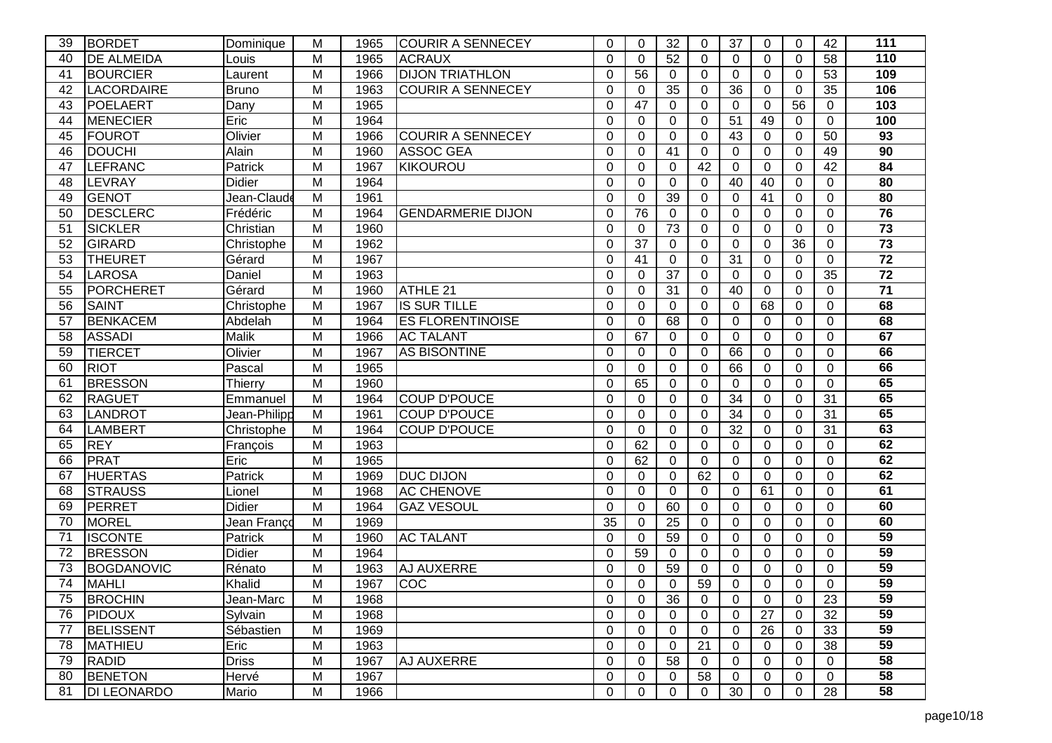| 39 | <b>BORDET</b>      | Dominique     | М | 1965 | <b>COURIR A SENNECEY</b> | $\Omega$ | $\Omega$        | 32              | 0               | 37              | $\Omega$       | $\Omega$ | 42             | 111             |
|----|--------------------|---------------|---|------|--------------------------|----------|-----------------|-----------------|-----------------|-----------------|----------------|----------|----------------|-----------------|
| 40 | <b>DE ALMEIDA</b>  | Louis         | М | 1965 | <b>ACRAUX</b>            | $\Omega$ | $\Omega$        | 52              | 0               | $\Omega$        | $\Omega$       | $\Omega$ | 58             | 110             |
| 41 | <b>BOURCIER</b>    | Laurent       | M | 1966 | <b>DIJON TRIATHLON</b>   | $\Omega$ | 56              | $\Omega$        | 0               | $\mathbf 0$     | $\mathbf 0$    | 0        | 53             | 109             |
| 42 | <b>LACORDAIRE</b>  | Bruno         | M | 1963 | <b>COURIR A SENNECEY</b> | $\Omega$ | $\Omega$        | 35              | 0               | 36              | $\Omega$       | 0        | 35             | 106             |
| 43 | <b>POELAERT</b>    | Dany          | M | 1965 |                          | $\Omega$ | 47              | $\Omega$        | 0               | $\Omega$        | $\Omega$       | 56       | $\Omega$       | 103             |
| 44 | <b>MENECIER</b>    | Eric          | M | 1964 |                          | $\Omega$ | $\Omega$        | $\Omega$        | $\Omega$        | 51              | 49             | 0        | $\mathbf 0$    | 100             |
| 45 | <b>FOUROT</b>      | Olivier       | M | 1966 | <b>COURIR A SENNECEY</b> | $\Omega$ | $\mathbf 0$     | $\overline{0}$  | 0               | 43              | $\Omega$       | 0        | 50             | 93              |
| 46 | <b>DOUCHI</b>      | Alain         | M | 1960 | <b>ASSOC GEA</b>         | $\Omega$ | 0               | 41              | 0               | 0               | $\Omega$       | 0        | 49             | 90              |
| 47 | LEFRANC            | Patrick       | М | 1967 | <b>KIKOUROU</b>          | 0        | $\Omega$        | $\Omega$        | $\overline{42}$ | 0               | $\Omega$       | 0        | 42             | 84              |
| 48 | LEVRAY             | Didier        | М | 1964 |                          | $\Omega$ | $\Omega$        | $\Omega$        | 0               | 40              | 40             | $\Omega$ | $\Omega$       | 80              |
| 49 | GENOT              | Jean-Claude   | M | 1961 |                          | $\Omega$ | $\Omega$        | $\overline{39}$ | 0               | $\Omega$        | 41             | 0        | $\mathbf 0$    | 80              |
| 50 | <b>DESCLERC</b>    | Frédéric      | Μ | 1964 | <b>GENDARMERIE DIJON</b> | $\Omega$ | 76              | 0               | 0               | 0               | $\Omega$       | 0        | $\Omega$       | $\overline{76}$ |
| 51 | <b>SICKLER</b>     | Christian     | M | 1960 |                          | $\Omega$ | 0               | $\overline{73}$ | 0               | 0               | $\Omega$       | 0        | 0              | $\overline{73}$ |
| 52 | <b>GIRARD</b>      | Christophe    | M | 1962 |                          | $\Omega$ | $\overline{37}$ | $\Omega$        | 0               | 0               | 0              | 36       | $\Omega$       | $\overline{73}$ |
| 53 | <b>THEURET</b>     | Gérard        | M | 1967 |                          | $\Omega$ | $\overline{41}$ | $\Omega$        | 0               | $\overline{31}$ | $\Omega$       | $\Omega$ | $\mathbf 0$    | $\overline{72}$ |
| 54 | <b>LAROSA</b>      | Daniel        | Μ | 1963 |                          | $\Omega$ | $\Omega$        | 37              | 0               | 0               | $\Omega$       | 0        | 35             | $\overline{72}$ |
| 55 | <b>PORCHERET</b>   | Gérard        | Μ | 1960 | ATHLE 21                 | $\Omega$ | $\Omega$        | 31              | 0               | 40              | $\Omega$       | $\Omega$ | $\Omega$       | $\overline{71}$ |
| 56 | <b>SAINT</b>       | Christophe    | Μ | 1967 | <b>IS SUR TILLE</b>      | $\Omega$ | $\Omega$        | $\Omega$        | 0               | $\Omega$        | 68             | $\Omega$ | $\Omega$       | 68              |
| 57 | <b>BENKACEM</b>    | Abdelah       | M | 1964 | <b>ES FLORENTINOISE</b>  | $\Omega$ | $\Omega$        | 68              | 0               | $\overline{0}$  | $\Omega$       | 0        | $\mathbf 0$    | 68              |
| 58 | <b>ASSADI</b>      | Malik         | M | 1966 | <b>AC TALANT</b>         | $\Omega$ | 67              | $\Omega$        | 0               | 0               | $\Omega$       | 0        | $\Omega$       | 67              |
| 59 | <b>TIERCET</b>     | Olivier       | M | 1967 | <b>AS BISONTINE</b>      | $\Omega$ | 0               | $\Omega$        | 0               | 66              | $\Omega$       | $\Omega$ | $\mathbf 0$    | 66              |
| 60 | <b>RIOT</b>        | Pascal        | M | 1965 |                          | $\Omega$ | $\Omega$        | $\Omega$        | 0               | 66              | $\Omega$       | 0        | $\Omega$       | 66              |
| 61 | <b>BRESSON</b>     | Thierry       | M | 1960 |                          | $\Omega$ | 65              | $\overline{0}$  | 0               | $\mathbf 0$     | $\overline{0}$ | 0        | $\mathbf 0$    | 65              |
| 62 | <b>RAGUET</b>      | Emmanuel      | Μ | 1964 | <b>COUP D'POUCE</b>      | $\Omega$ | 0               | $\overline{0}$  | 0               | 34              | $\mathbf 0$    | 0        | 31             | 65              |
| 63 | LANDROT            | Jean-Philipp  | Μ | 1961 | <b>COUP D'POUCE</b>      | $\Omega$ | 0               | $\Omega$        | 0               | 34              | $\Omega$       | 0        | 31             | 65              |
| 64 | LAMBERT            | Christophe    | Μ | 1964 | <b>COUP D'POUCE</b>      | $\Omega$ | $\Omega$        | $\overline{0}$  | 0               | 32              | $\Omega$       | $\Omega$ | 31             | 63              |
| 65 | <b>REY</b>         | François      | Μ | 1963 |                          | $\Omega$ | 62              | $\Omega$        | 0               | $\Omega$        | $\Omega$       | $\Omega$ | $\Omega$       | 62              |
| 66 | <b>PRAT</b>        | Eric          | M | 1965 |                          | $\Omega$ | 62              | $\mathbf 0$     | $\mathbf 0$     | $\mathbf 0$     | $\mathbf 0$    | 0        | $\overline{0}$ | 62              |
| 67 | <b>HUERTAS</b>     | Patrick       | M | 1969 | <b>DUC DIJON</b>         | 0        | 0               | 0               | 62              | 0               | $\Omega$       | 0        | 0              | 62              |
| 68 | <b>STRAUSS</b>     | ∟ionel        | M | 1968 | <b>AC CHENOVE</b>        | 0        | $\mathbf 0$     | $\Omega$        | 0               | $\Omega$        | 61             | $\Omega$ | $\Omega$       | 61              |
| 69 | PERRET             | <b>Didier</b> | M | 1964 | <b>GAZ VESOUL</b>        | $\Omega$ | $\Omega$        | 60              | 0               | $\Omega$        | $\Omega$       | $\Omega$ | $\Omega$       | 60              |
| 70 | <b>MOREL</b>       | Jean Franco   | M | 1969 |                          | 35       | $\Omega$        | 25              | 0               | $\overline{0}$  | $\Omega$       | 0        | $\overline{0}$ | 60              |
| 71 | <b>ISCONTE</b>     | Patrick       | M | 1960 | <b>AC TALANT</b>         | $\Omega$ | $\Omega$        | 59              | 0               | 0               | $\Omega$       | 0        | $\Omega$       | $\overline{59}$ |
| 72 | <b>BRESSON</b>     | <b>Didier</b> | Μ | 1964 |                          | $\Omega$ | 59              | $\Omega$        | 0               | $\Omega$        | $\Omega$       | $\Omega$ | $\Omega$       | $\overline{59}$ |
| 73 | BOGDANOVIC         | Rénato        | Μ | 1963 | AJ AUXERRE               | 0        | $\Omega$        | 59              | 0               | $\Omega$        | $\Omega$       | 0        | $\Omega$       | 59              |
| 74 | <b>MAHLI</b>       | Khalid        | M | 1967 | <b>COC</b>               | $\Omega$ | $\overline{0}$  | $\mathbf 0$     | 59              | $\overline{0}$  | $\mathbf 0$    | 0        | $\Omega$       | 59              |
| 75 | <b>BROCHIN</b>     | Jean-Marc     | M | 1968 |                          | 0        | 0               | 36              | 0               | 0               | 0              | 0        | 23             | 59              |
| 76 | <b>PIDOUX</b>      | Sylvain       | M | 1968 |                          | $\Omega$ | 0               | 0               | 0               | $\Omega$        | 27             | $\Omega$ | 32             | 59              |
| 77 | <b>BELISSENT</b>   | Sébastien     | M | 1969 |                          | 0        | $\mathbf 0$     | 0               | 0               | 0               | 26             | 0        | 33             | 59              |
| 78 | MATHIEU            | Eric          | M | 1963 |                          | 0        | 0               | 0               | 21              | 0               | 0              | 0        | 38             | 59              |
| 79 | <b>RADID</b>       | <b>Driss</b>  | M | 1967 | <b>AJ AUXERRE</b>        | 0        | 0               | 58              | 0               | 0               | $\Omega$       | 0        | $\mathbf 0$    | $\overline{58}$ |
| 80 | <b>BENETON</b>     | Hervé         | M | 1967 |                          | 0        | $\mathbf 0$     | 0               | 58              | 0               | 0              | 0        | $\mathbf 0$    | $\overline{58}$ |
| 81 | <b>DI LEONARDO</b> | Mario         | M | 1966 |                          | 0        | 0               | 0               | 0               | 30              | 0              | 0        | 28             | 58              |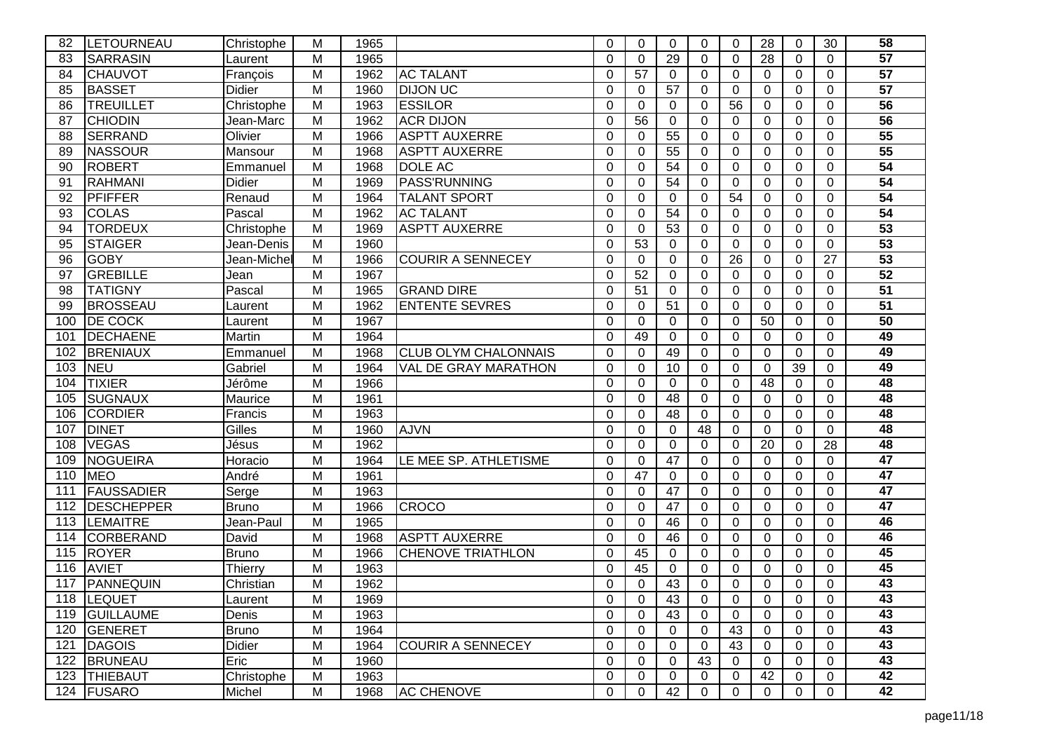| 82  | LETOURNEAU        | Christophe    | M              | 1965 |                             | 0        | $\Omega$    | $\Omega$        | 0  | $\Omega$    | 28       | 0        | 30             | 58              |
|-----|-------------------|---------------|----------------|------|-----------------------------|----------|-------------|-----------------|----|-------------|----------|----------|----------------|-----------------|
| 83  | <b>SARRASIN</b>   | Laurent       | M              | 1965 |                             | $\Omega$ | $\Omega$    | 29              | 0  | $\mathbf 0$ | 28       | $\Omega$ | $\Omega$       | $\overline{57}$ |
| 84  | <b>CHAUVOT</b>    | François      | M              | 1962 | <b>AC TALANT</b>            | 0        | 57          | $\Omega$        | 0  | $\Omega$    | $\Omega$ | 0        | 0              | 57              |
| 85  | <b>BASSET</b>     | <b>Didier</b> | M              | 1960 | <b>DIJON UC</b>             | 0        | $\Omega$    | 57              | 0  | $\Omega$    | $\Omega$ | $\Omega$ | $\Omega$       | $\overline{57}$ |
| 86  | <b>TREUILLET</b>  | Christophe    | M              | 1963 | <b>ESSILOR</b>              | $\Omega$ | $\Omega$    | $\Omega$        | 0  | 56          | $\Omega$ | 0        | $\Omega$       | 56              |
| 87  | <b>CHIODIN</b>    | Jean-Marc     | M              | 1962 | <b>ACR DIJON</b>            | $\Omega$ | 56          | $\Omega$        | 0  | $\Omega$    | $\Omega$ | 0        | $\overline{0}$ | $\overline{56}$ |
| 88  | <b>SERRAND</b>    | Olivier       | M              | 1966 | <b>ASPTT AUXERRE</b>        | 0        | 0           | 55              | 0  | $\mathbf 0$ | $\Omega$ | 0        | $\mathbf 0$    | 55              |
| 89  | <b>NASSOUR</b>    | Mansour       | M              | 1968 | <b>ASPTT AUXERRE</b>        | 0        | $\Omega$    | 55              | 0  | $\Omega$    | $\Omega$ | $\Omega$ | $\Omega$       | $\overline{55}$ |
| 90  | <b>ROBERT</b>     | Emmanuel      | M              | 1968 | <b>DOLE AC</b>              | 0        | $\Omega$    | 54              | 0  | $\Omega$    | $\Omega$ | 0        | $\Omega$       | 54              |
| 91  | <b>RAHMANI</b>    | <b>Didier</b> | M              | 1969 | <b>PASS'RUNNING</b>         | 0        | $\Omega$    | $\overline{54}$ | 0  | $\Omega$    | $\Omega$ | 0        | $\Omega$       | 54              |
| 92  | PFIFFER           | Renaud        | M              | 1964 | <b>TALANT SPORT</b>         | 0        | 0           | $\Omega$        | 0  | 54          | $\Omega$ | 0        | $\Omega$       | $\overline{54}$ |
| 93  | <b>COLAS</b>      | Pascal        | $\overline{M}$ | 1962 | <b>AC TALANT</b>            | $\Omega$ | 0           | $\overline{54}$ | 0  | 0           | $\Omega$ | 0        | $\Omega$       | 54              |
| 94  | <b>TORDEUX</b>    | Christophe    | M              | 1969 | <b>ASPTT AUXERRE</b>        | 0        | 0           | 53              | 0  | 0           | $\Omega$ | 0        | $\Omega$       | 53              |
| 95  | <b>STAIGER</b>    | Jean-Denis    | M              | 1960 |                             | $\Omega$ | 53          | 0               | 0  | $\Omega$    | $\Omega$ | $\Omega$ | $\Omega$       | 53              |
| 96  | <b>GOBY</b>       | Jean-Michel   | M              | 1966 | <b>COURIR A SENNECEY</b>    | 0        | 0           | $\Omega$        | 0  | 26          | $\Omega$ | 0        | 27             | 53              |
| 97  | <b>GREBILLE</b>   | Jean          | M              | 1967 |                             | 0        | 52          | $\Omega$        | 0  | $\Omega$    | $\Omega$ | 0        | $\Omega$       | 52              |
| 98  | <b>TATIGNY</b>    | Pascal        | M              | 1965 | <b>GRAND DIRE</b>           | 0        | 51          | $\Omega$        | 0  | $\Omega$    | $\Omega$ | $\Omega$ | 0              | $\overline{51}$ |
| 99  | <b>BROSSEAU</b>   | Laurent       | M              | 1962 | <b>ENTENTE SEVRES</b>       | 0        | $\Omega$    | 51              | 0  | $\Omega$    | $\Omega$ | $\Omega$ | $\Omega$       | $\overline{51}$ |
| 100 | <b>DE COCK</b>    | Laurent       | M              | 1967 |                             | 0        | 0           | $\Omega$        | 0  | $\mathbf 0$ | 50       | 0        | 0              | $\overline{50}$ |
| 101 | <b>DECHAENE</b>   | Martin        | M              | 1964 |                             | $\Omega$ | 49          | $\Omega$        | 0  | $\mathbf 0$ | $\Omega$ | 0        | $\Omega$       | 49              |
| 102 | <b>BRENIAUX</b>   | Emmanuel      | M              | 1968 | <b>CLUB OLYM CHALONNAIS</b> | 0        | $\Omega$    | 49              | 0  | $\Omega$    | $\Omega$ | $\Omega$ | $\Omega$       | 49              |
| 103 | <b>NEU</b>        | Gabriel       | M              | 1964 | <b>VAL DE GRAY MARATHON</b> | $\Omega$ | $\Omega$    | 10              | 0  | $\Omega$    | $\Omega$ | 39       | $\Omega$       | 49              |
| 104 | <b>TIXIER</b>     | Jérôme        | M              | 1966 |                             | $\Omega$ | $\Omega$    | $\Omega$        | 0  | $\Omega$    | 48       | 0        | $\Omega$       | 48              |
| 105 | <b>SUGNAUX</b>    | Maurice       | M              | 1961 |                             | 0        | $\Omega$    | $\overline{48}$ | 0  | $\Omega$    | $\Omega$ | 0        | $\Omega$       | 48              |
| 106 | <b>CORDIER</b>    | Francis       | M              | 1963 |                             | 0        | $\Omega$    | 48              | 0  | $\Omega$    | $\Omega$ | $\Omega$ | $\Omega$       | 48              |
| 107 | <b>DINET</b>      | Gilles        | M              | 1960 | <b>AJVN</b>                 | 0        | $\Omega$    | $\Omega$        | 48 | $\Omega$    | $\Omega$ | $\Omega$ | $\Omega$       | 48              |
| 108 | <b>VEGAS</b>      | Jésus         | M              | 1962 |                             | $\Omega$ | $\Omega$    | $\mathbf 0$     | 0  | $\mathbf 0$ | 20       | 0        | 28             | 48              |
| 109 | <b>NOGUEIRA</b>   | Horacio       | M              | 1964 | LE MEE SP. ATHLETISME       | 0        | 0           | 47              | 0  | $\Omega$    | $\Omega$ | 0        | $\Omega$       | $\overline{47}$ |
| 110 | <b>MEO</b>        | André         | M              | 1961 |                             | 0        | 47          | $\Omega$        | 0  | $\Omega$    | $\Omega$ | $\Omega$ | $\Omega$       | $\overline{47}$ |
| 111 | <b>FAUSSADIER</b> | Serge         | M              | 1963 |                             | $\Omega$ | $\Omega$    | 47              | 0  | $\Omega$    | $\Omega$ | 0        | $\Omega$       | 47              |
| 112 | <b>DESCHEPPER</b> | <b>Bruno</b>  | M              | 1966 | <b>CROCO</b>                | 0        | $\Omega$    | 47              | 0  | $\Omega$    | $\Omega$ | 0        | $\Omega$       | $\overline{47}$ |
| 113 | LEMAITRE          | Jean-Paul     | M              | 1965 |                             | 0        | 0           | 46              | 0  | 0           | $\Omega$ | 0        | 0              | 46              |
| 114 | <b>CORBERAND</b>  | David         | M              | 1968 | <b>ASPTT AUXERRE</b>        | 0        | $\Omega$    | 46              | 0  | $\Omega$    | $\Omega$ | $\Omega$ | 0              | 46              |
| 115 | <b>ROYER</b>      | Bruno         | M              | 1966 | <b>CHENOVE TRIATHLON</b>    | 0        | 45          | $\Omega$        | 0  | $\Omega$    | $\Omega$ | 0        | $\Omega$       | 45              |
| 116 | <b>AVIET</b>      | Thierry       | M              | 1963 |                             | 0        | 45          | $\Omega$        | 0  | $\Omega$    | $\Omega$ | 0        | $\Omega$       | 45              |
| 117 | PANNEQUIN         | Christian     | M              | 1962 |                             | 0        | 0           | 43              | 0  | 0           | $\Omega$ | 0        | 0              | 43              |
|     | 118  LEQUET       | Laurent       | M              | 1969 |                             | 0        | 0           | 43              | 0  | 0           | 0        | 0        | 0              | 43              |
|     | 119 GUILLAUME     | Denis         | M              | 1963 |                             | 0        | $\mathbf 0$ | 43              | 0  | $\Omega$    | $\Omega$ | $\Omega$ | $\Omega$       | 43              |
|     | 120 GENERET       | <b>Bruno</b>  | M              | 1964 |                             | 0        | 0           | 0               | 0  | 43          | 0        | 0        | $\mathbf 0$    | 43              |
| 121 | DAGOIS            | Didier        | M              | 1964 | <b>COURIR A SENNECEY</b>    | 0        | 0           | 0               | 0  | 43          | 0        | 0        | $\mathbf 0$    | 43              |
| 122 | <b>BRUNEAU</b>    | Eric          | M              | 1960 |                             | 0        | 0           | 0               | 43 | 0           | $\Omega$ | 0        | 0              | 43              |
|     | 123 THIEBAUT      | Christophe    | M              | 1963 |                             | 0        | 0           | $\Omega$        | 0  | 0           | 42       | 0        | 0              | 42              |
|     | 124   FUSARO      | Michel        | M              | 1968 | <b>AC CHENOVE</b>           | 0        | 0           | 42              | 0  | 0           | 0        | 0        | 0              | 42              |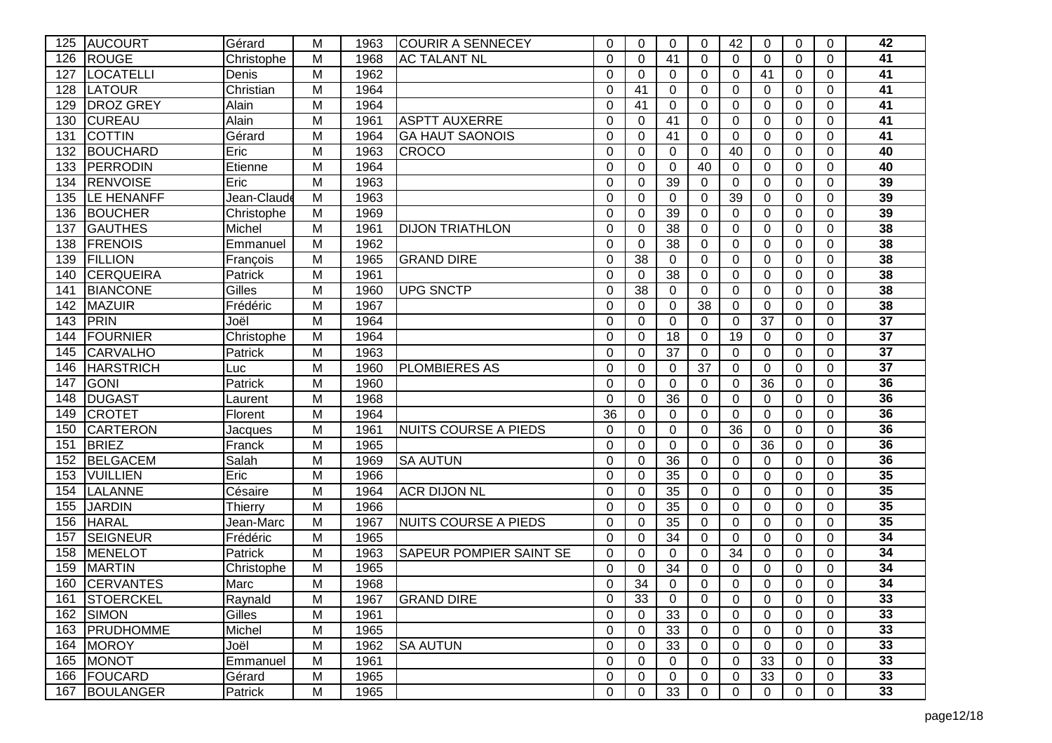| 125 | <b>AUCOURT</b>    | Gérard      | M | 1963 | <b>COURIR A SENNECEY</b>    | 0        | 0               | 0               | 0           | 42          | 0              | 0           | $\mathbf 0$    | 42              |
|-----|-------------------|-------------|---|------|-----------------------------|----------|-----------------|-----------------|-------------|-------------|----------------|-------------|----------------|-----------------|
| 126 | <b>ROUGE</b>      | Christophe  | M | 1968 | <b>AC TALANT NL</b>         | $\Omega$ | $\Omega$        | 41              | 0           | $\Omega$    | $\Omega$       | 0           | $\Omega$       | 41              |
| 127 | LOCATELLI         | Denis       | M | 1962 |                             | $\Omega$ | $\Omega$        | $\Omega$        | 0           | $\Omega$    | 41             | 0           | $\Omega$       | 41              |
| 128 | LATOUR            | Christian   | M | 1964 |                             | $\Omega$ | 41              | $\overline{0}$  | 0           | $\mathbf 0$ | $\mathbf 0$    | 0           | $\mathbf 0$    | $\overline{41}$ |
| 129 | <b>DROZ GREY</b>  | Alain       | M | 1964 |                             | 0        | 41              | $\Omega$        | 0           | 0           | $\Omega$       | 0           | $\Omega$       | 41              |
| 130 | <b>CUREAU</b>     | Alain       | M | 1961 | <b>ASPTT AUXERRE</b>        | $\Omega$ | $\Omega$        | 41              | $\Omega$    | $\Omega$    | $\Omega$       | 0           | $\Omega$       | 41              |
| 131 | <b>COTTIN</b>     | Gérard      | M | 1964 | <b>GA HAUT SAONOIS</b>      | $\Omega$ | $\Omega$        | 41              | 0           | $\Omega$    | $\Omega$       | $\mathbf 0$ | $\Omega$       | 41              |
| 132 | <b>BOUCHARD</b>   | Eric        | M | 1963 | <b>CROCO</b>                | $\Omega$ | $\mathbf 0$     | $\overline{0}$  | 0           | 40          | $\mathbf 0$    | 0           | $\mathbf 0$    | 40              |
| 133 | <b>PERRODIN</b>   | Etienne     | M | 1964 |                             | $\Omega$ | $\mathbf 0$     | $\mathbf 0$     | 40          | 0           | $\mathbf 0$    | 0           | $\mathbf 0$    | 40              |
| 134 | <b>RENVOISE</b>   | Eric        | M | 1963 |                             | 0        | 0               | 39              | $\Omega$    | 0           | $\Omega$       | 0           | $\mathbf 0$    | 39              |
| 135 | <b>LE HENANFF</b> | Jean-Claude | M | 1963 |                             | 0        | $\Omega$        | $\Omega$        | $\Omega$    | 39          | $\Omega$       | 0           | $\Omega$       | 39              |
| 136 | <b>BOUCHER</b>    | Christophe  | M | 1969 |                             | $\Omega$ | $\Omega$        | 39              | 0           | $\mathbf 0$ | $\mathbf 0$    | 0           | $\overline{0}$ | 39              |
| 137 | <b>GAUTHES</b>    | Michel      | M | 1961 | <b>DIJON TRIATHLON</b>      | 0        | 0               | 38              | 0           | 0           | 0              | 0           | $\mathbf 0$    | 38              |
| 138 | <b>FRENOIS</b>    | Emmanuel    | M | 1962 |                             | 0        | 0               | $\overline{38}$ | 0           | 0           | 0              | 0           | 0              | 38              |
| 139 | <b>FILLION</b>    | François    | M | 1965 | <b>GRAND DIRE</b>           | 0        | $\overline{38}$ | 0               | 0           | $\Omega$    | 0              | 0           | $\Omega$       | 38              |
| 140 | <b>CERQUEIRA</b>  | Patrick     | M | 1961 |                             | $\Omega$ | $\Omega$        | $\overline{38}$ | $\Omega$    | $\Omega$    | $\Omega$       | 0           | $\Omega$       | 38              |
| 141 | <b>BIANCONE</b>   | Gilles      | M | 1960 | <b>UPG SNCTP</b>            | $\Omega$ | 38              | $\Omega$        | 0           | 0           | $\Omega$       | 0           | $\Omega$       | 38              |
| 142 | <b>MAZUIR</b>     | Frédéric    | M | 1967 |                             | $\Omega$ | $\Omega$        | 0               | 38          | $\Omega$    | 0              | 0           | $\Omega$       | 38              |
| 143 | PRIN              | Joël        | M | 1964 |                             | $\Omega$ | $\Omega$        | $\Omega$        | 0           | $\Omega$    | 37             | 0           | $\Omega$       | $\overline{37}$ |
| 144 | FOURNIER          | Christophe  | M | 1964 |                             | $\Omega$ | $\Omega$        | $\overline{18}$ | 0           | 19          | $\Omega$       | 0           | $\Omega$       | $\overline{37}$ |
| 145 | <b>CARVALHO</b>   | Patrick     | M | 1963 |                             | $\Omega$ | 0               | 37              | 0           | 0           | $\Omega$       | 0           | $\Omega$       | $\overline{37}$ |
| 146 | <b>HARSTRICH</b>  | Luc         | M | 1960 | <b>PLOMBIERES AS</b>        | $\Omega$ | 0               | 0               | 37          | 0           | $\Omega$       | 0           | $\mathbf 0$    | $\overline{37}$ |
| 147 | <b>GONI</b>       | Patrick     | M | 1960 |                             | 0        | $\Omega$        | $\Omega$        | $\Omega$    | 0           | 36             | 0           | $\Omega$       | 36              |
| 148 | <b>DUGAST</b>     | Laurent     | M | 1968 |                             | $\Omega$ | $\Omega$        | $\overline{36}$ | 0           | $\mathbf 0$ | $\Omega$       | $\mathbf 0$ | $\overline{0}$ | 36              |
| 149 | <b>CROTET</b>     | Florent     | M | 1964 |                             | 36       | 0               | 0               | $\mathbf 0$ | $\mathbf 0$ | $\mathbf 0$    | 0           | $\mathbf 0$    | 36              |
| 150 | <b>CARTERON</b>   | Jacques     | M | 1961 | <b>NUITS COURSE A PIEDS</b> | 0        | 0               | $\mathbf 0$     | 0           | 36          | $\overline{0}$ | 0           | $\mathbf 0$    | 36              |
| 151 | <b>BRIEZ</b>      | Franck      | M | 1965 |                             | $\Omega$ | $\Omega$        | $\overline{0}$  | $\Omega$    | $\Omega$    | 36             | 0           | $\Omega$       | 36              |
| 152 | <b>BELGACEM</b>   | Salah       | M | 1969 | <b>SA AUTUN</b>             | 0        | $\Omega$        | 36              | $\Omega$    | $\Omega$    | $\Omega$       | 0           | $\Omega$       | 36              |
| 153 | <b>VUILLIEN</b>   | Eric        | M | 1966 |                             | $\Omega$ | $\Omega$        | $\overline{35}$ | 0           | $\mathbf 0$ | $\mathbf 0$    | 0           | $\mathbf 0$    | 35              |
| 154 | LALANNE           | Césaire     | M | 1964 | <b>ACR DIJON NL</b>         | 0        | 0               | 35              | 0           | 0           | 0              | 0           | $\Omega$       | 35              |
| 155 | <b>JARDIN</b>     | Thierry     | M | 1966 |                             | $\Omega$ | $\Omega$        | 35              | $\Omega$    | $\Omega$    | $\Omega$       | 0           | $\Omega$       | 35              |
| 156 | <b>HARAL</b>      | Jean-Marc   | M | 1967 | <b>NUITS COURSE A PIEDS</b> | $\Omega$ | $\Omega$        | 35              | 0           | $\Omega$    | $\Omega$       | 0           | $\Omega$       | 35              |
| 157 | <b>SEIGNEUR</b>   | Frédéric    | M | 1965 |                             | $\Omega$ | $\Omega$        | 34              | 0           | $\Omega$    | $\Omega$       | 0           | $\Omega$       | 34              |
| 158 | MENELOT           | Patrick     | M | 1963 | SAPEUR POMPIER SAINT SE     | $\Omega$ | 0               | 0               | 0           | 34          | 0              | 0           | 0              | 34              |
| 159 | <b>MARTIN</b>     | Christophe  | M | 1965 |                             | 0        | $\Omega$        | 34              | 0           | 0           | 0              | 0           | $\Omega$       | 34              |
| 160 | <b>CERVANTES</b>  | Marc        | M | 1968 |                             | 0        | 34              | $\Omega$        | 0           | $\Omega$    | $\Omega$       | 0           | $\Omega$       | 34              |
|     | 161 STOERCKEL     | Raynald     | M | 1967 | <b>GRAND DIRE</b>           | 0        | 33              | 0               | 0           | 0           | 0              | 0           | 0              | 33              |
|     | 162 SIMON         | Gilles      | M | 1961 |                             | $\Omega$ | 0               | 33              | 0           | 0           | 0              | 0           | $\Omega$       | 33              |
| 163 | PRUDHOMME         | Michel      | M | 1965 |                             | 0        | 0               | 33              | 0           | $\mathbf 0$ | 0              | 0           | 0              | 33              |
|     | 164 MOROY         | Joël        | M | 1962 | <b>SA AUTUN</b>             | 0        | $\mathbf 0$     | 33              | 0           | $\mathbf 0$ | $\Omega$       | 0           | 0              | 33              |
|     | 165 MONOT         | Emmanuel    | M | 1961 |                             | 0        | 0               | 0               | 0           | 0           | 33             | 0           | 0              | 33              |
|     | 166 FOUCARD       | Gérard      | M | 1965 |                             | 0        | $\mathbf 0$     | 0               | 0           | 0           | 33             | 0           | 0              | 33              |
|     | 167 BOULANGER     | Patrick     | M | 1965 |                             | 0        | $\mathbf 0$     | 33              | 0           | 0           | 0              | 0           | 0              | 33              |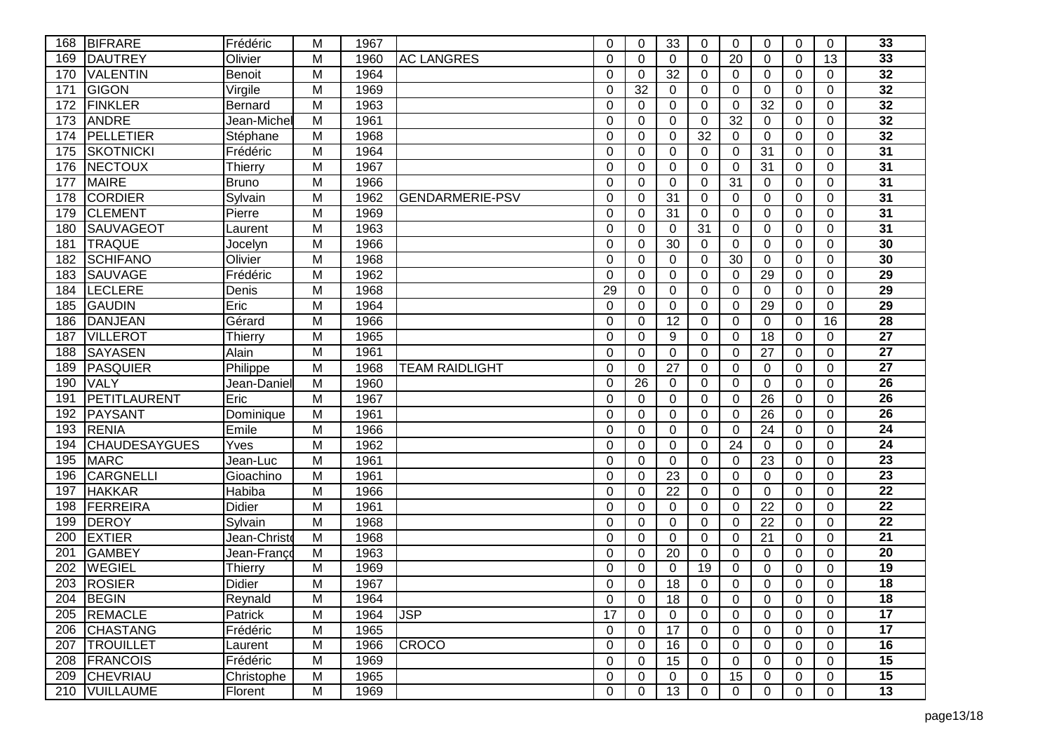| 168 | <b>BIFRARE</b>       | Frédéric      | M              | 1967 |                        | $\Omega$ | $\Omega$     | 33              | 0        | $\Omega$       | $\Omega$       | 0           | $\Omega$       | 33              |
|-----|----------------------|---------------|----------------|------|------------------------|----------|--------------|-----------------|----------|----------------|----------------|-------------|----------------|-----------------|
| 169 | <b>DAUTREY</b>       | Olivier       | M              | 1960 | <b>AC LANGRES</b>      | $\Omega$ | $\Omega$     | $\Omega$        | 0        | 20             | $\Omega$       | 0           | 13             | 33              |
| 170 | <b>VALENTIN</b>      | <b>Benoit</b> | M              | 1964 |                        | $\Omega$ | 0            | 32              | 0        | $\mathbf{0}$   | $\Omega$       | 0           | $\Omega$       | $\overline{32}$ |
| 171 | <b>GIGON</b>         | Virgile       | M              | 1969 |                        | $\Omega$ | 32           | $\Omega$        | 0        | 0              | $\Omega$       | 0           | $\Omega$       | 32              |
| 172 | <b>FINKLER</b>       | Bernard       | M              | 1963 |                        | $\Omega$ | $\Omega$     | $\Omega$        | $\Omega$ | 0              | 32             | 0           | $\Omega$       | 32              |
| 173 | <b>ANDRE</b>         | Jean-Michel   | M              | 1961 |                        | $\Omega$ | $\mathbf{0}$ | $\Omega$        | 0        | 32             | $\Omega$       | 0           | $\Omega$       | 32              |
| 174 | PELLETIER            | Stéphane      | M              | 1968 |                        | $\Omega$ | $\mathbf 0$  | $\mathbf 0$     | 32       | $\mathbf 0$    | $\overline{0}$ | 0           | $\mathbf 0$    | $\overline{32}$ |
| 175 | <b>SKOTNICKI</b>     | Frédéric      | M              | 1964 |                        | $\Omega$ | 0            | $\Omega$        | 0        | 0              | 31             | 0           | $\mathbf 0$    | 31              |
| 176 | NECTOUX              | Thierry       | M              | 1967 |                        | 0        | $\mathbf{0}$ | $\Omega$        | $\Omega$ | $\Omega$       | 31             | 0           | $\mathbf 0$    | 31              |
| 177 | <b>MAIRE</b>         | Bruno         | M              | 1966 |                        | 0        | $\mathbf{0}$ | $\Omega$        | 0        | 31             | 0              | 0           | $\Omega$       | $\overline{31}$ |
| 178 | <b>CORDIER</b>       | Sylvain       | M              | 1962 | <b>GENDARMERIE-PSV</b> | 0        | 0            | $\overline{31}$ | $\Omega$ | $\Omega$       | $\mathbf 0$    | $\mathbf 0$ | $\mathbf 0$    | 31              |
| 179 | <b>CLEMENT</b>       | Pierre        | M              | 1969 |                        | 0        | 0            | 31              | 0        | $\overline{0}$ | 0              | 0           | $\mathbf 0$    | $\overline{31}$ |
| 180 | <b>SAUVAGEOT</b>     | Laurent       | M              | 1963 |                        | $\Omega$ | 0            | 0               | 31       | 0              | 0              | 0           | $\mathbf 0$    | $\overline{31}$ |
| 181 | <b>TRAQUE</b>        | Jocelyn       | M              | 1966 |                        | 0        | 0            | $\overline{30}$ | 0        | $\overline{0}$ | $\Omega$       | 0           | $\Omega$       | 30              |
| 182 | <b>SCHIFANO</b>      | Olivier       | $\overline{M}$ | 1968 |                        | 0        | 0            | $\Omega$        | $\Omega$ | 30             | $\Omega$       | 0           | $\Omega$       | 30              |
| 183 | <b>SAUVAGE</b>       | Frédéric      | M              | 1962 |                        | 0        | 0            | 0               | $\Omega$ | 0              | 29             | 0           | $\Omega$       | 29              |
| 184 | LECLERE              | Denis         | M              | 1968 |                        | 29       | $\mathbf{0}$ | $\Omega$        | $\Omega$ | $\Omega$       | $\Omega$       | 0           | $\Omega$       | 29              |
| 185 | <b>GAUDIN</b>        | Eric          | M              | 1964 |                        | 0        | $\mathbf{0}$ | $\Omega$        | 0        | $\Omega$       | 29             | 0           | $\Omega$       | 29              |
| 186 | <b>DANJEAN</b>       | Gérard        | M              | 1966 |                        | $\Omega$ | $\Omega$     | $\overline{12}$ | $\Omega$ | $\Omega$       | $\Omega$       | 0           | 16             | 28              |
| 187 | <b>VILLEROT</b>      | Thierry       | M              | 1965 |                        | 0        | 0            | 9               | 0        | $\Omega$       | 18             | 0           | 0              | $\overline{27}$ |
| 188 | <b>SAYASEN</b>       | Alain         | M              | 1961 |                        | 0        | 0            | $\Omega$        | $\Omega$ | 0              | 27             | 0           | $\mathbf 0$    | $\overline{27}$ |
| 189 | PASQUIER             | Philippe      | M              | 1968 | <b>TEAM RAIDLIGHT</b>  | $\Omega$ | 0            | 27              | 0        | 0              | $\Omega$       | 0           | $\Omega$       | $\overline{27}$ |
| 190 | VALY                 | Jean-Daniel   | M              | 1960 |                        | $\Omega$ | 26           | $\mathbf 0$     | $\Omega$ | $\mathbf 0$    | $\mathbf 0$    | $\mathbf 0$ | $\overline{0}$ | 26              |
| 191 | <b>PETITLAURENT</b>  | Eric          | M              | 1967 |                        | 0        | 0            | $\Omega$        | 0        | 0              | 26             | 0           | $\mathbf 0$    | $\overline{26}$ |
| 192 | <b>PAYSANT</b>       | Dominique     | M              | 1961 |                        | $\Omega$ | 0            | $\Omega$        | $\Omega$ | 0              | 26             | 0           | $\mathbf 0$    | $\overline{26}$ |
| 193 | <b>RENIA</b>         | Emile         | M              | 1966 |                        | $\Omega$ | $\mathbf{0}$ | $\Omega$        | $\Omega$ | $\Omega$       | 24             | 0           | $\Omega$       | 24              |
| 194 | <b>CHAUDESAYGUES</b> | Yves          | M              | 1962 |                        | 0        | $\mathbf{0}$ | $\Omega$        | $\Omega$ | 24             | $\Omega$       | $\Omega$    | $\Omega$       | 24              |
| 195 | <b>MARC</b>          | Jean-Luc      | M              | 1961 |                        | $\Omega$ | $\mathbf 0$  | $\mathbf 0$     | $\Omega$ | $\mathbf 0$    | 23             | $\mathbf 0$ | $\overline{0}$ | $\overline{23}$ |
| 196 | <b>CARGNELLI</b>     | Gioachino     | M              | 1961 |                        | 0        | 0            | 23              | 0        | 0              | 0              | 0           | $\Omega$       | 23              |
| 197 | <b>HAKKAR</b>        | Habiba        | M              | 1966 |                        | 0        | $\mathbf{0}$ | 22              | $\Omega$ | $\Omega$       | $\Omega$       | 0           | $\Omega$       | $\overline{22}$ |
| 198 | FERREIRA             | <b>Didier</b> | M              | 1961 |                        | 0        | $\mathbf{0}$ | $\Omega$        | 0        | $\Omega$       | 22             | $\Omega$    | $\Omega$       | 22              |
| 199 | <b>DEROY</b>         | Sylvain       | M              | 1968 |                        | 0        | 0            | $\Omega$        | $\Omega$ | $\Omega$       | 22             | 0           | $\Omega$       | $\overline{22}$ |
| 200 | <b>EXTIER</b>        | Jean-Christo  | M              | 1968 |                        | $\Omega$ | $\mathbf{0}$ | $\Omega$        | 0        | $\Omega$       | 21             | 0           | $\Omega$       | 21              |
| 201 | <b>GAMBEY</b>        | Jean-Franco   | M              | 1963 |                        | $\Omega$ | $\mathbf{0}$ | 20              | 0        | $\Omega$       | 0              | 0           | $\Omega$       | 20              |
| 202 | <b>WEGIEL</b>        | Thierry       | M              | 1969 |                        | 0        | 0            | 0               | 19       | 0              | 0              | 0           | 0              | 19              |
| 203 | <b>ROSIER</b>        | Didier        | M              | 1967 |                        | 0        | 0            | 18              | 0        | 0              | $\overline{0}$ | 0           | $\Omega$       | $\overline{18}$ |
|     | 204 BEGIN            | Reynald       | M              | 1964 |                        | 0        | $\mathbf{0}$ | 18              | 0        | 0              | 0              | 0           | 0              | 18              |
|     | 205 REMACLE          | Patrick       | M              | 1964 | <b>JSP</b>             | 17       | $\mathbf{0}$ | 0               | 0        | $\mathbf{0}$   | 0              | 0           | $\Omega$       | 17              |
|     | 206 CHASTANG         | Frédéric      | M              | 1965 |                        | 0        | $\mathbf 0$  | 17              | 0        | $\overline{0}$ | 0              | 0           | $\mathbf 0$    | 17              |
|     | 207 TROUILLET        | Laurent       | $\overline{M}$ | 1966 | <b>CROCO</b>           | 0        | 0            | 16              | 0        | 0              | 0              | 0           | $\mathbf 0$    | 16              |
| 208 | <b>FRANCOIS</b>      | Frédéric      | M              | 1969 |                        | 0        | 0            | 15              | 0        | 0              | 0              | 0           | $\mathbf 0$    | 15              |
| 209 | <b>CHEVRIAU</b>      | Christophe    | M              | 1965 |                        | 0        | $\mathbf 0$  | 0               | 0        | 15             | 0              | 0           | $\mathbf 0$    | 15              |
|     | 210 VUILLAUME        | Florent       | M              | 1969 |                        | 0        | 0            | 13              | 0        | 0              | 0              | 0           | 0              | 13              |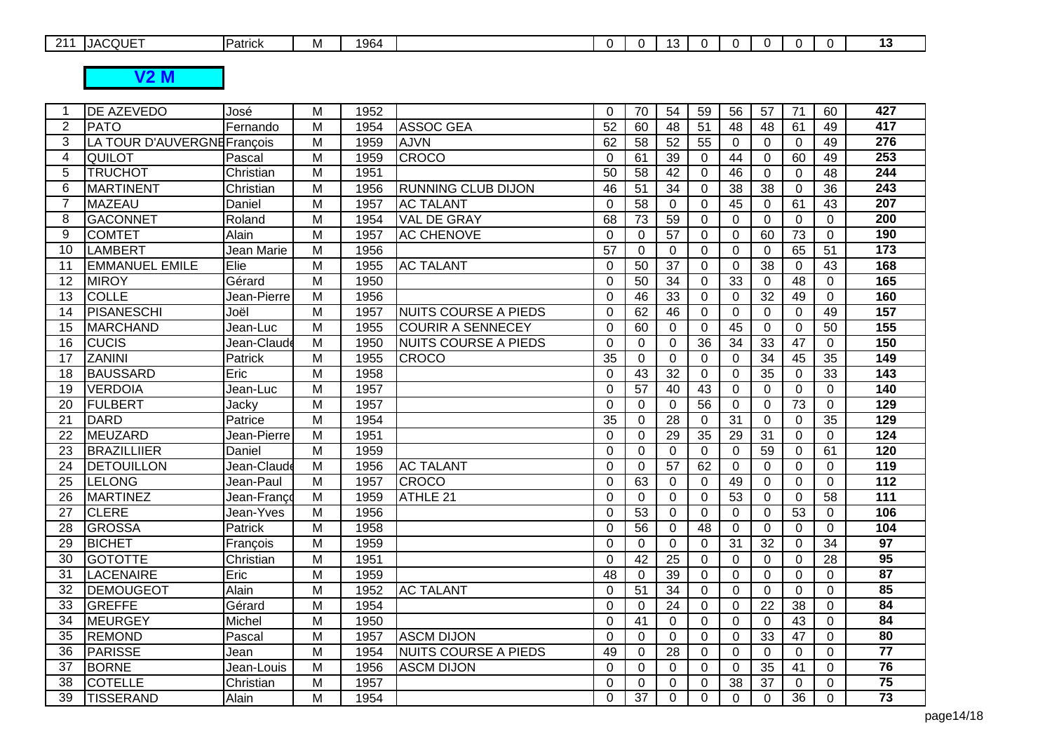| $\Omega$<br>$\overline{\phantom{0}}$ | COUFT<br>.JAU | Patrick | <b></b> | 1964 |  | . | . . |  |  |  |
|--------------------------------------|---------------|---------|---------|------|--|---|-----|--|--|--|
|                                      |               |         |         |      |  |   |     |  |  |  |

**V2 M**

| -1              | <b>DE AZEVEDO</b>           | José        | M              | 1952 |                             | $\Omega$        | 70              | 54              | 59              | 56              | 57              | 71              | 60              | 427              |
|-----------------|-----------------------------|-------------|----------------|------|-----------------------------|-----------------|-----------------|-----------------|-----------------|-----------------|-----------------|-----------------|-----------------|------------------|
| $\overline{2}$  | <b>PATO</b>                 | Fernando    | M              | 1954 | <b>ASSOC GEA</b>            | 52              | 60              | 48              | 51              | 48              | 48              | 61              | 49              | $\overline{417}$ |
| 3               | LA TOUR D'AUVERGNE François |             | M              | 1959 | <b>AJVN</b>                 | 62              | 58              | 52              | 55              | $\Omega$        | $\Omega$        | $\mathbf 0$     | 49              | 276              |
| 4               | <b>QUILOT</b>               | Pascal      | M              | 1959 | <b>CROCO</b>                | $\overline{0}$  | 61              | 39              | $\mathbf 0$     | 44              | $\overline{0}$  | 60              | 49              | 253              |
| 5               | <b>TRUCHOT</b>              | Christian   | $\overline{M}$ | 1951 |                             | $\overline{50}$ | $\overline{58}$ | $\overline{42}$ | $\Omega$        | 46              | $\Omega$        | $\overline{0}$  | 48              | $\overline{244}$ |
| 6               | MARTINENT                   | Christian   | M              | 1956 | <b>RUNNING CLUB DIJON</b>   | 46              | 51              | 34              | $\Omega$        | 38              | 38              | $\Omega$        | 36              | 243              |
| $\overline{7}$  | <b>MAZEAU</b>               | Daniel      | M              | 1957 | <b>AC TALANT</b>            | $\Omega$        | 58              | $\mathbf 0$     | $\mathbf 0$     | 45              | $\Omega$        | 61              | 43              | $\overline{207}$ |
| 8               | <b>GACONNET</b>             | Roland      | $\overline{M}$ | 1954 | VAL DE GRAY                 | 68              | 73              | 59              | $\Omega$        | $\Omega$        | $\Omega$        | $\Omega$        | $\Omega$        | $\overline{200}$ |
| 9               | <b>COMTET</b>               | Alain       | $\overline{M}$ | 1957 | <b>AC CHENOVE</b>           | $\Omega$        | $\mathbf{0}$    | 57              | $\Omega$        | $\Omega$        | 60              | $\overline{73}$ | $\Omega$        | 190              |
| 10              | <b>LAMBERT</b>              | Jean Marie  | $\overline{M}$ | 1956 |                             | $\overline{57}$ | $\mathbf 0$     | $\mathbf 0$     | $\mathbf 0$     | $\mathbf 0$     | $\mathbf 0$     | 65              | $\overline{51}$ | 173              |
| 11              | <b>EMMANUEL EMILE</b>       | Elie        | $\overline{M}$ | 1955 | <b>AC TALANT</b>            | $\Omega$        | 50              | $\overline{37}$ | $\Omega$        | $\mathbf 0$     | $\overline{38}$ | $\mathbf 0$     | 43              | 168              |
| 12              | <b>MIROY</b>                | Gérard      | $\overline{M}$ | 1950 |                             | $\Omega$        | 50              | $\overline{34}$ | $\mathbf 0$     | 33              | $\mathbf 0$     | $\overline{48}$ | 0               | 165              |
| $\overline{13}$ | <b>COLLE</b>                | Jean-Pierre | $\overline{M}$ | 1956 |                             | $\Omega$        | 46              | $\overline{33}$ | $\mathbf 0$     | $\Omega$        | $\overline{32}$ | 49              | $\Omega$        | 160              |
| 14              | PISANESCHI                  | Joël        | $\overline{M}$ | 1957 | <b>NUITS COURSE A PIEDS</b> | $\Omega$        | 62              | 46              | $\Omega$        | $\mathbf 0$     | $\Omega$        | $\overline{0}$  | 49              | 157              |
| 15              | <b>MARCHAND</b>             | Jean-Luc    | $\overline{M}$ | 1955 | <b>COURIR A SENNECEY</b>    | $\overline{0}$  | 60              | $\Omega$        | $\overline{0}$  | 45              | $\Omega$        | $\mathbf 0$     | 50              | 155              |
| 16              | <b>CUCIS</b>                | Jean-Claude | M              | 1950 | <b>NUITS COURSE A PIEDS</b> | $\Omega$        | $\Omega$        | $\Omega$        | 36              | 34              | 33              | 47              | $\Omega$        | 150              |
| $\overline{17}$ | <b>ZANINI</b>               | Patrick     | $\overline{M}$ | 1955 | <b>CROCO</b>                | $\overline{35}$ | 0               | 0               | $\Omega$        | $\Omega$        | $\overline{34}$ | 45              | $\overline{35}$ | 149              |
| 18              | <b>BAUSSARD</b>             | Eric        | $\overline{M}$ | 1958 |                             | $\Omega$        | $\overline{43}$ | $\overline{32}$ | $\Omega$        | $\Omega$        | 35              | $\Omega$        | 33              | 143              |
| 19              | <b>VERDOIA</b>              | Jean-Luc    | $\overline{M}$ | 1957 |                             | $\Omega$        | $\overline{57}$ | 40              | $\overline{43}$ | $\Omega$        | $\Omega$        | $\Omega$        | $\Omega$        | 140              |
| 20              | <b>FULBERT</b>              | Jacky       | $\overline{M}$ | 1957 |                             | $\mathbf 0$     | $\mathbf 0$     | $\Omega$        | $\overline{56}$ | $\mathbf 0$     | $\mathbf 0$     | $\overline{73}$ | $\mathbf 0$     | 129              |
| 21              | <b>DARD</b>                 | Patrice     | M              | 1954 |                             | 35              | $\mathbf{0}$    | 28              | $\Omega$        | $\overline{31}$ | $\Omega$        | $\Omega$        | 35              | 129              |
| 22              | MEUZARD                     | Jean-Pierre | $\overline{M}$ | 1951 |                             | $\Omega$        | $\mathbf 0$     | 29              | $\overline{35}$ | $\overline{29}$ | $\overline{31}$ | $\mathbf 0$     | $\mathbf 0$     | 124              |
| 23              | <b>BRAZILLIIER</b>          | Daniel      | M              | 1959 |                             | $\Omega$        | $\Omega$        | $\Omega$        | $\Omega$        | 0               | $\overline{59}$ | $\Omega$        | 61              | 120              |
| 24              | <b>DETOUILLON</b>           | Jean-Claude | $\overline{M}$ | 1956 | <b>AC TALANT</b>            | $\Omega$        | $\mathbf 0$     | $\overline{57}$ | 62              | $\mathbf 0$     | $\Omega$        | $\Omega$        | $\Omega$        | 119              |
| $\overline{25}$ | LELONG                      | Jean-Paul   | $\overline{M}$ | 1957 | <b>CROCO</b>                | $\Omega$        | 63              | $\mathbf 0$     | $\mathbf 0$     | 49              | $\overline{0}$  | $\mathbf 0$     | 0               | 112              |
| 26              | <b>MARTINEZ</b>             | Jean-Franco | M              | 1959 | ATHLE 21                    | $\Omega$        | $\mathbf{0}$    | $\Omega$        | $\Omega$        | 53              | $\Omega$        | $\mathbf 0$     | 58              | $\overline{111}$ |
| 27              | <b>CLERE</b>                | Jean-Yves   | M              | 1956 |                             | $\mathbf 0$     | 53              | $\Omega$        | $\mathbf 0$     | $\mathbf 0$     | 0               | 53              | $\Omega$        | 106              |
| 28              | <b>GROSSA</b>               | Patrick     | M              | 1958 |                             | $\Omega$        | 56              | $\Omega$        | 48              | $\Omega$        | $\mathbf 0$     | $\Omega$        | $\Omega$        | 104              |
| 29              | <b>BICHET</b>               | François    | M              | 1959 |                             | $\Omega$        | $\Omega$        | $\Omega$        | $\Omega$        | 31              | 32              | $\Omega$        | 34              | $\overline{97}$  |
| 30              | <b>GOTOTTE</b>              | Christian   | M              | 1951 |                             | $\Omega$        | 42              | 25              | $\Omega$        | $\mathbf 0$     | $\Omega$        | $\overline{0}$  | 28              | 95               |
| 31              | <b>LACENAIRE</b>            | Eric        | M              | 1959 |                             | 48              | $\mathbf 0$     | 39              | $\Omega$        | $\Omega$        | $\Omega$        | $\Omega$        | $\Omega$        | 87               |
| 32              | DEMOUGEOT                   | Alain       | M              | 1952 | <b>AC TALANT</b>            | $\mathbf 0$     | 51              | 34              | $\mathbf 0$     | $\mathbf 0$     | $\Omega$        | $\mathbf 0$     | 0               | 85               |
| 33              | GREFFE                      | Gérard      | M              | 1954 |                             | $\Omega$        | $\mathbf{0}$    | 24              | $\Omega$        | $\Omega$        | $\overline{22}$ | $\overline{38}$ | $\Omega$        | $\overline{84}$  |
| 34              | <b>MEURGEY</b>              | Michel      | M              | 1950 |                             | $\Omega$        | 41              | $\Omega$        | $\Omega$        | $\Omega$        | $\mathbf{0}$    | 43              | $\Omega$        | 84               |
| 35              | <b>REMOND</b>               | Pascal      | M              | 1957 | <b>ASCM DIJON</b>           | $\mathbf 0$     | $\mathbf 0$     | $\Omega$        | $\mathbf 0$     | $\mathbf 0$     | 33              | $\overline{47}$ | 0               | 80               |
| 36              | PARISSE                     | Jean        | M              | 1954 | <b>NUITS COURSE A PIEDS</b> | 49              | $\Omega$        | 28              | $\Omega$        | $\mathbf 0$     | $\Omega$        | $\mathbf 0$     | $\Omega$        | $\overline{77}$  |
| 37              | <b>BORNE</b>                | Jean-Louis  | M              | 1956 | <b>ASCM DIJON</b>           | $\mathbf 0$     | 0               | $\Omega$        | $\Omega$        | 0               | 35              | 41              | 0               | $\overline{76}$  |
| 38              | <b>COTELLE</b>              | Christian   | M              | 1957 |                             | $\Omega$        | $\Omega$        | 0               | $\Omega$        | 38              | 37              | $\Omega$        | $\Omega$        | $\overline{75}$  |
| 39              | <b>TISSERAND</b>            | Alain       | $\overline{M}$ | 1954 |                             | $\Omega$        | $\overline{37}$ | $\Omega$        | $\Omega$        | $\mathbf 0$     | $\mathbf 0$     | $\overline{36}$ | $\Omega$        | $\overline{73}$  |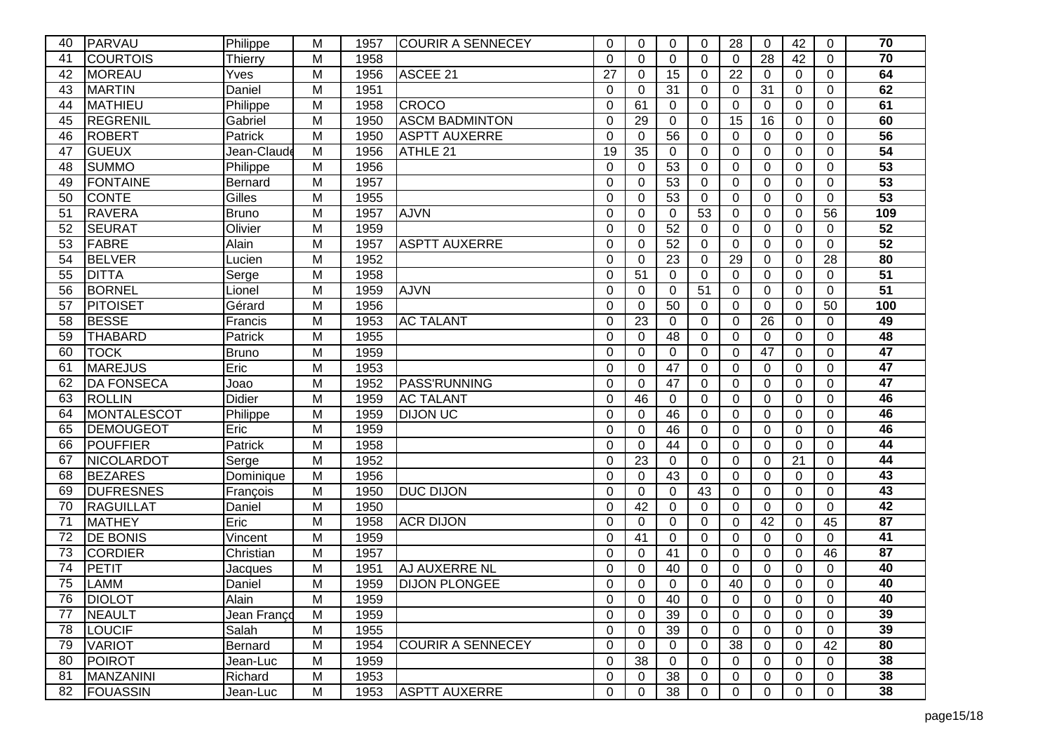| 40 | PARVAU            | Philippe       | М              | 1957 | <b>COURIR A SENNECEY</b> | $\Omega$ | $\Omega$     | 0               | 0        | 28             | $\Omega$    | 42       | 0              | 70              |
|----|-------------------|----------------|----------------|------|--------------------------|----------|--------------|-----------------|----------|----------------|-------------|----------|----------------|-----------------|
| 41 | <b>COURTOIS</b>   | Thierry        | M              | 1958 |                          | $\Omega$ | $\mathbf 0$  | $\overline{0}$  | 0        | $\Omega$       | 28          | 42       | $\mathbf 0$    | $\overline{70}$ |
| 42 | <b>MOREAU</b>     | Yves           | Μ              | 1956 | ASCEE 21                 | 27       | 0            | 15              | 0        | 22             | $\Omega$    | 0        | $\Omega$       | 64              |
| 43 | <b>MARTIN</b>     | Daniel         | M              | 1951 |                          | $\Omega$ | $\Omega$     | 31              | 0        | $\Omega$       | 31          | $\Omega$ | $\Omega$       | 62              |
| 44 | <b>MATHIEU</b>    | Philippe       | Μ              | 1958 | <b>CROCO</b>             | $\Omega$ | 61           | $\Omega$        | 0        | $\Omega$       | $\Omega$    | 0        | $\Omega$       | 61              |
| 45 | REGRENIL          | Gabriel        | M              | 1950 | <b>ASCM BADMINTON</b>    | $\Omega$ | 29           | $\overline{0}$  | 0        | 15             | 16          | 0        | $\overline{0}$ | 60              |
| 46 | <b>ROBERT</b>     | Patrick        | M              | 1950 | <b>ASPTT AUXERRE</b>     | $\Omega$ | 0            | 56              | 0        | 0              | $\Omega$    | 0        | $\mathbf 0$    | 56              |
| 47 | <b>GUEUX</b>      | Jean-Claude    | M              | 1956 | ATHLE 21                 | 19       | 35           | $\Omega$        | 0        | $\Omega$       | $\Omega$    | 0        | $\overline{0}$ | $\overline{54}$ |
| 48 | <b>SUMMO</b>      | Philippe       | Μ              | 1956 |                          | 0        | $\Omega$     | 53              | $\Omega$ | $\Omega$       | $\Omega$    | $\Omega$ | $\Omega$       | 53              |
| 49 | <b>FONTAINE</b>   | <b>Bernard</b> | M              | 1957 |                          | $\Omega$ | $\Omega$     | $\overline{53}$ | 0        | $\overline{0}$ | $\mathbf 0$ | 0        | $\overline{0}$ | 53              |
| 50 | <b>CONTE</b>      | Gilles         | Μ              | 1955 |                          | 0        | 0            | 53              | 0        | 0              | $\Omega$    | 0        | 0              | 53              |
| 51 | <b>RAVERA</b>     | Bruno          | M              | 1957 | <b>AJVN</b>              | 0        | 0            | 0               | 53       | 0              | $\Omega$    | 0        | 56             | 109             |
| 52 | <b>SEURAT</b>     | Olivier        | M              | 1959 |                          | $\Omega$ | $\Omega$     | 52              | 0        | $\Omega$       | $\Omega$    | 0        | $\Omega$       | 52              |
| 53 | <b>FABRE</b>      | Alain          | $\overline{M}$ | 1957 | <b>ASPTT AUXERRE</b>     | $\Omega$ | $\Omega$     | $\overline{52}$ | 0        | $\Omega$       | $\Omega$    | $\Omega$ | $\overline{0}$ | 52              |
| 54 | <b>BELVER</b>     | Lucien         | Μ              | 1952 |                          | $\Omega$ | 0            | 23              | 0        | 29             | $\Omega$    | 0        | 28             | 80              |
| 55 | <b>DITTA</b>      | Serge          | M              | 1958 |                          | $\Omega$ | 51           | $\Omega$        | 0        | $\Omega$       | $\Omega$    | 0        | $\Omega$       | 51              |
| 56 | <b>BORNEL</b>     | Lionel         | Μ              | 1959 | <b>AJVN</b>              | $\Omega$ | $\Omega$     | $\Omega$        | 51       | $\Omega$       | $\Omega$    | $\Omega$ | $\Omega$       | 51              |
| 57 | PITOISET          | Gérard         | M              | 1956 |                          | $\Omega$ | $\Omega$     | $\overline{50}$ | 0        | $\Omega$       | $\Omega$    | $\Omega$ | 50             | 100             |
| 58 | <b>BESSE</b>      | Francis        | Μ              | 1953 | <b>AC TALANT</b>         | $\Omega$ | 23           | $\Omega$        | 0        | 0              | 26          | 0        | 0              | 49              |
| 59 | <b>THABARD</b>    | Patrick        | M              | 1955 |                          | $\Omega$ | 0            | 48              | 0        | 0              | $\Omega$    | 0        | 0              | 48              |
| 60 | <b>TOCK</b>       | <b>Bruno</b>   | M              | 1959 |                          | 0        | $\mathbf{0}$ | $\Omega$        | 0        | $\Omega$       | 47          | 0        | $\Omega$       | $\overline{47}$ |
| 61 | <b>MAREJUS</b>    | Eric           | M              | 1953 |                          | $\Omega$ | $\Omega$     | 47              | 0        | $\Omega$       | $\Omega$    | 0        | $\overline{0}$ | 47              |
| 62 | <b>DA FONSECA</b> | Joao           | Μ              | 1952 | <b>PASS'RUNNING</b>      | $\Omega$ | 0            | 47              | 0        | 0              | $\Omega$    | 0        | $\mathbf 0$    | 47              |
| 63 | <b>ROLLIN</b>     | Didier         | M              | 1959 | <b>AC TALANT</b>         | $\Omega$ | 46           | $\Omega$        | 0        | $\Omega$       | $\Omega$    | 0        | $\overline{0}$ | 46              |
| 64 | MONTALESCOT       | Philippe       | Μ              | 1959 | <b>DIJON UC</b>          | 0        | $\Omega$     | 46              | 0        | $\Omega$       | $\Omega$    | $\Omega$ | $\Omega$       | 46              |
| 65 | <b>DEMOUGEOT</b>  | Eric           | М              | 1959 |                          | $\Omega$ | $\Omega$     | 46              | 0        | $\Omega$       | $\Omega$    | $\Omega$ | $\Omega$       | 46              |
| 66 | POUFFIER          | Patrick        | M              | 1958 |                          | $\Omega$ | $\mathbf 0$  | 44              | 0        | $\mathbf 0$    | $\mathbf 0$ | 0        | $\Omega$       | $\overline{44}$ |
| 67 | NICOLARDOT        | Serge          | M              | 1952 |                          | 0        | 23           | $\Omega$        | 0        | 0              | 0           | 21       | $\Omega$       | $\overline{44}$ |
| 68 | <b>BEZARES</b>    | Dominique      | M              | 1956 |                          | $\Omega$ | $\Omega$     | 43              | 0        | $\Omega$       | $\Omega$    | $\Omega$ | $\Omega$       | $\overline{43}$ |
| 69 | <b>DUFRESNES</b>  | François       | M              | 1950 | <b>DUC DIJON</b>         | $\Omega$ | $\Omega$     | 0               | 43       | $\Omega$       | $\Omega$    | 0        | $\Omega$       | 43              |
| 70 | RAGUILLAT         | Daniel         | M              | 1950 |                          | $\Omega$ | 42           | $\Omega$        | 0        | $\Omega$       | $\Omega$    | 0        | $\mathbf 0$    | 42              |
| 71 | <b>MATHEY</b>     | Eric           | M              | 1958 | <b>ACR DIJON</b>         | $\Omega$ | 0            | $\Omega$        | 0        | $\Omega$       | 42          | 0        | 45             | $\overline{87}$ |
| 72 | <b>DE BONIS</b>   | Vincent        | М              | 1959 |                          | $\Omega$ | 41           | $\Omega$        | 0        | $\Omega$       | $\Omega$    | $\Omega$ | $\Omega$       | 41              |
| 73 | <b>CORDIER</b>    | Christian      | Μ              | 1957 |                          | $\Omega$ | $\Omega$     | 41              | 0        | $\Omega$       | $\Omega$    | $\Omega$ | 46             | 87              |
| 74 | PETIT             | Jacques        | M              | 1951 | AJ AUXERRE NL            | $\Omega$ | $\mathbf 0$  | 40              | 0        | $\Omega$       | $\Omega$    | 0        | $\Omega$       | 40              |
| 75 | <b>LAMM</b>       | Daniel         | M              | 1959 | <b>DIJON PLONGEE</b>     | 0        | $\Omega$     | $\Omega$        | 0        | 40             | $\Omega$    | 0        | $\Omega$       | 40              |
| 76 | <b>DIOLOT</b>     | Alain          | M              | 1959 |                          | 0        | 0            | 40              | 0        | 0              | 0           | 0        | 0              | 40              |
| 77 | <b>NEAULT</b>     | Jean Franço    | M              | 1959 |                          | 0        | 0            | 39              | 0        | $\Omega$       | $\Omega$    | 0        | $\Omega$       | 39              |
| 78 | <b>LOUCIF</b>     | Salah          | M              | 1955 |                          | 0        | 0            | 39              | 0        | 0              | 0           | 0        | $\mathbf 0$    | 39              |
| 79 | <b>VARIOT</b>     | Bernard        | M              | 1954 | <b>COURIR A SENNECEY</b> | 0        | 0            | 0               | 0        | 38             | 0           | 0        | 42             | 80              |
| 80 | <b>POIROT</b>     | Jean-Luc       | M              | 1959 |                          | 0        | 38           | 0               | 0        | 0              | $\Omega$    | 0        | $\mathbf 0$    | 38              |
| 81 | <b>MANZANINI</b>  | Richard        | M              | 1953 |                          | 0        | 0            | 38              | 0        | 0              | 0           | 0        | 0              | 38              |
| 82 | <b>FOUASSIN</b>   | Jean-Luc       | M              | 1953 | <b>ASPTT AUXERRE</b>     | 0        | $\mathbf 0$  | 38              | 0        | 0              | 0           | 0        | 0              | 38              |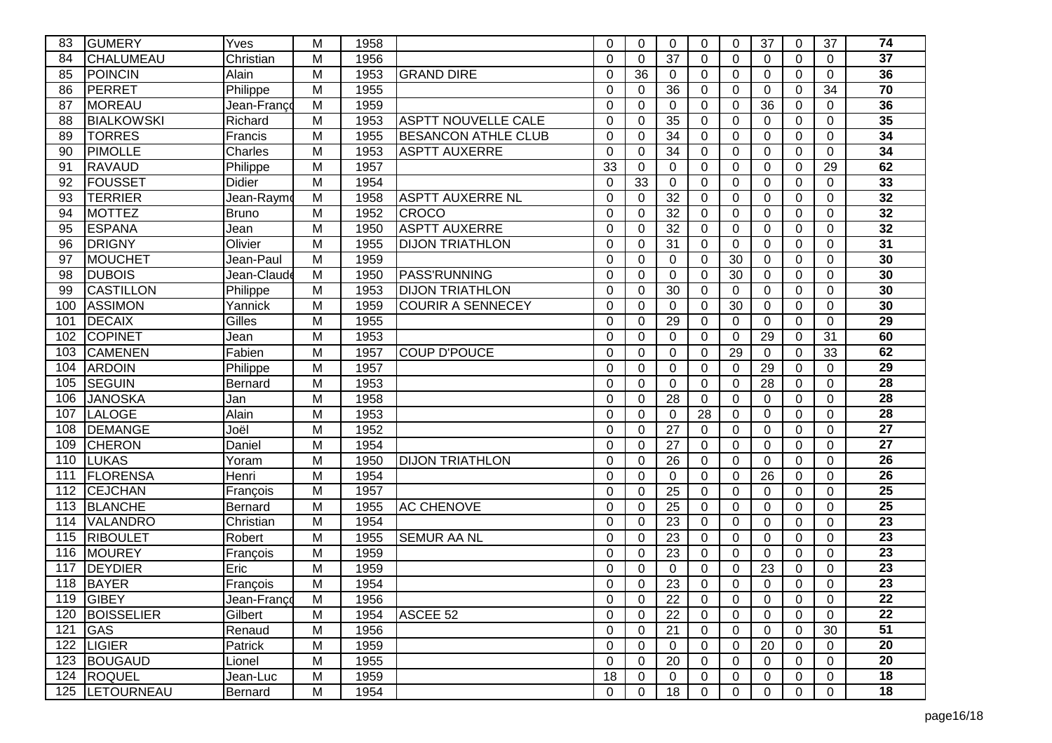| 83  | <b>GUMERY</b>           | Yves           | M              | 1958 |                            | 0        | $\Omega$        | $\Omega$        | 0  | $\Omega$    | 37          | 0        | 37             | 74              |
|-----|-------------------------|----------------|----------------|------|----------------------------|----------|-----------------|-----------------|----|-------------|-------------|----------|----------------|-----------------|
| 84  | <b>CHALUMEAU</b>        | Christian      | M              | 1956 |                            | $\Omega$ | $\mathbf 0$     | $\overline{37}$ | 0  | $\mathbf 0$ | $\Omega$    | $\Omega$ | $\Omega$       | $\overline{37}$ |
| 85  | <b>POINCIN</b>          | Alain          | M              | 1953 | <b>GRAND DIRE</b>          | 0        | 36              | $\Omega$        | 0  | $\mathbf 0$ | $\Omega$    | 0        | 0              | 36              |
| 86  | PERRET                  | Philippe       | M              | 1955 |                            | 0        | $\Omega$        | 36              | 0  | $\mathbf 0$ | $\Omega$    | 0        | 34             | $\overline{70}$ |
| 87  | <b>MOREAU</b>           | Jean-Françd    | M              | 1959 |                            | $\Omega$ | $\Omega$        | $\Omega$        | 0  | $\Omega$    | 36          | 0        | $\Omega$       | 36              |
| 88  | <b>BIALKOWSKI</b>       | Richard        | $\overline{M}$ | 1953 | <b>ASPTT NOUVELLE CALE</b> | $\Omega$ | $\mathbf 0$     | 35              | 0  | $\mathbf 0$ | $\Omega$    | 0        | $\mathbf 0$    | 35              |
| 89  | <b>TORRES</b>           | Francis        | M              | 1955 | <b>BESANCON ATHLE CLUB</b> | 0        | 0               | 34              | 0  | $\mathbf 0$ | $\Omega$    | 0        | $\mathbf 0$    | 34              |
| 90  | <b>PIMOLLE</b>          | Charles        | M              | 1953 | <b>ASPTT AUXERRE</b>       | 0        | $\Omega$        | 34              | 0  | $\Omega$    | $\Omega$    | 0        | $\overline{0}$ | 34              |
| 91  | <b>RAVAUD</b>           | Philippe       | M              | 1957 |                            | 33       | 0               | $\Omega$        | 0  | $\Omega$    | $\Omega$    | 0        | 29             | 62              |
| 92  | <b>FOUSSET</b>          | <b>Didier</b>  | M              | 1954 |                            | 0        | $\overline{33}$ | $\mathbf 0$     | 0  | $\mathbf 0$ | $\mathbf 0$ | 0        | $\mathbf 0$    | 33              |
| 93  | <b>TERRIER</b>          | Jean-Raymo     | M              | 1958 | <b>ASPTT AUXERRE NL</b>    | 0        | $\Omega$        | $\overline{32}$ | 0  | $\mathbf 0$ | $\Omega$    | 0        | 0              | $\overline{32}$ |
| 94  | <b>MOTTEZ</b>           | <b>Bruno</b>   | M              | 1952 | <b>CROCO</b>               | 0        | 0               | $\overline{32}$ | 0  | $\mathbf 0$ | $\Omega$    | 0        | 0              | 32              |
| 95  | <b>ESPANA</b>           | Jean           | M              | 1950 | <b>ASPTT AUXERRE</b>       | $\Omega$ | 0               | 32              | 0  | $\mathbf 0$ | $\Omega$    | 0        | $\Omega$       | 32              |
| 96  | <b>DRIGNY</b>           | Olivier        | $\overline{M}$ | 1955 | <b>DIJON TRIATHLON</b>     | $\Omega$ | $\Omega$        | 31              | 0  | $\mathbf 0$ | $\Omega$    | $\Omega$ | $\overline{0}$ | 31              |
| 97  | <b>MOUCHET</b>          | Jean-Paul      | M              | 1959 |                            | 0        | 0               | $\Omega$        | 0  | 30          | $\Omega$    | 0        | $\mathbf 0$    | 30              |
| 98  | <b>DUBOIS</b>           | Jean-Claude    | M              | 1950 | <b>PASS'RUNNING</b>        | 0        | $\Omega$        | $\Omega$        | 0  | 30          | $\Omega$    | 0        | $\Omega$       | 30              |
| 99  | <b>CASTILLON</b>        | Philippe       | M              | 1953 | <b>DIJON TRIATHLON</b>     | 0        | $\Omega$        | 30              | 0  | $\Omega$    | $\Omega$    | $\Omega$ | $\Omega$       | 30              |
| 100 | <b>ASSIMON</b>          | Yannick        | M              | 1959 | <b>COURIR A SENNECEY</b>   | $\Omega$ | $\Omega$        | $\overline{0}$  | 0  | 30          | $\Omega$    | 0        | $\Omega$       | 30              |
| 101 | <b>DECAIX</b>           | Gilles         | M              | 1955 |                            | 0        | $\mathbf 0$     | 29              | 0  | 0           | $\Omega$    | 0        | $\mathbf 0$    | 29              |
| 102 | <b>COPINET</b>          | Jean           | M              | 1953 |                            | $\Omega$ | 0               | $\Omega$        | 0  | $\mathbf 0$ | 29          | $\Omega$ | 31             | 60              |
| 103 | <b>CAMENEN</b>          | Fabien         | M              | 1957 | <b>COUP D'POUCE</b>        | $\Omega$ | $\Omega$        | $\Omega$        | 0  | 29          | $\Omega$    | 0        | 33             | 62              |
| 104 | <b>ARDOIN</b>           | Philippe       | M              | 1957 |                            | $\Omega$ | $\Omega$        | $\overline{0}$  | 0  | $\mathbf 0$ | 29          | 0        | $\overline{0}$ | 29              |
| 105 | <b>SEGUIN</b>           | <b>Bernard</b> | M              | 1953 |                            | 0        | 0               | $\mathbf 0$     | 0  | $\mathbf 0$ | 28          | 0        | $\mathbf 0$    | 28              |
| 106 | <b>JANOSKA</b>          | Jan            | M              | 1958 |                            | 0        | 0               | $\overline{28}$ | 0  | $\mathbf 0$ | $\Omega$    | 0        | $\overline{0}$ | 28              |
| 107 | LALOGE                  | Alain          | M              | 1953 |                            | 0        | $\Omega$        | $\Omega$        | 28 | $\Omega$    | $\Omega$    | $\Omega$ | $\Omega$       | 28              |
| 108 | <b>DEMANGE</b>          | Joël           | M              | 1952 |                            | 0        | $\Omega$        | 27              | 0  | $\Omega$    | $\Omega$    | $\Omega$ | $\Omega$       | $\overline{27}$ |
| 109 | <b>CHERON</b>           | Daniel         | M              | 1954 |                            | $\Omega$ | $\mathbf 0$     | 27              | 0  | $\mathbf 0$ | $\mathbf 0$ | 0        | $\overline{0}$ | $\overline{27}$ |
| 110 | <b>LUKAS</b>            | Yoram          | M              | 1950 | <b>DIJON TRIATHLON</b>     | 0        | 0               | 26              | 0  | $\mathbf 0$ | $\Omega$    | 0        | $\Omega$       | $\overline{26}$ |
| 111 | FLORENSA                | Henri          | M              | 1954 |                            | $\Omega$ | $\Omega$        | $\Omega$        | 0  | $\Omega$    | 26          | $\Omega$ | $\Omega$       | $\overline{26}$ |
| 112 | <b>CEJCHAN</b>          | François       | M              | 1957 |                            | $\Omega$ | $\Omega$        | 25              | 0  | $\Omega$    | $\Omega$    | $\Omega$ | $\Omega$       | $\overline{25}$ |
| 113 | <b>BLANCHE</b>          | <b>Bernard</b> | M              | 1955 | <b>AC CHENOVE</b>          | $\Omega$ | $\Omega$        | 25              | 0  | $\mathbf 0$ | $\Omega$    | 0        | $\overline{0}$ | $\overline{25}$ |
| 114 | <b>VALANDRO</b>         | Christian      | M              | 1954 |                            | $\Omega$ | 0               | 23              | 0  | $\mathbf 0$ | $\Omega$    | 0        | 0              | $\overline{23}$ |
| 115 | <b>RIBOULET</b>         | Robert         | M              | 1955 | <b>SEMUR AA NL</b>         | 0        | $\Omega$        | 23              | 0  | $\Omega$    | $\Omega$    | $\Omega$ | $\Omega$       | 23              |
| 116 | <b>MOUREY</b>           | François       | M              | 1959 |                            | 0        | $\Omega$        | 23              | 0  | $\Omega$    | $\Omega$    | $\Omega$ | $\Omega$       | 23              |
| 117 | <b>DEYDIER</b>          | Eric           | M              | 1959 |                            | 0        | $\Omega$        | 0               | 0  | $\Omega$    | 23          | 0        | $\Omega$       | $\overline{23}$ |
| 118 | <b>BAYER</b>            | François       | M              | 1954 |                            | 0        | $\Omega$        | 23              | 0  | $\Omega$    | $\Omega$    | 0        | $\Omega$       | 23              |
|     | 119 GIBEY               | Jean-Franço    | M              | 1956 |                            | 0        | 0               | 22              | 0  | 0           | 0           | 0        | 0              | 22              |
| 120 | <b>BOISSELIER</b>       | Gilbert        | M              | 1954 | ASCEE 52                   | 0        | 0               | 22              | 0  | $\Omega$    | $\Omega$    | $\Omega$ | 0              | 22              |
|     | $121$ GAS               | Renaud         | M              | 1956 |                            | 0        | 0               | 21              | 0  | 0           | 0           | 0        | 30             | $\overline{51}$ |
|     | $\overline{122}$ LIGIER | Patrick        | M              | 1959 |                            | 0        | 0               | $\Omega$        | 0  | $\mathbf 0$ | 20          | 0        | $\mathbf 0$    | $\overline{20}$ |
| 123 | BOUGAUD                 | Lionel         | M              | 1955 |                            | 0        | 0               | 20              | 0  | 0           | $\Omega$    | 0        | 0              | $\overline{20}$ |
|     | 124 ROQUEL              | Jean-Luc       | M              | 1959 |                            | 18       | $\mathbf 0$     | 0               | 0  | 0           | $\Omega$    | 0        | 0              | 18              |
|     | 125 LETOURNEAU          | Bernard        | M              | 1954 |                            | 0        | 0               | 18              | 0  | 0           | $\Omega$    | 0        | 0              | $\overline{18}$ |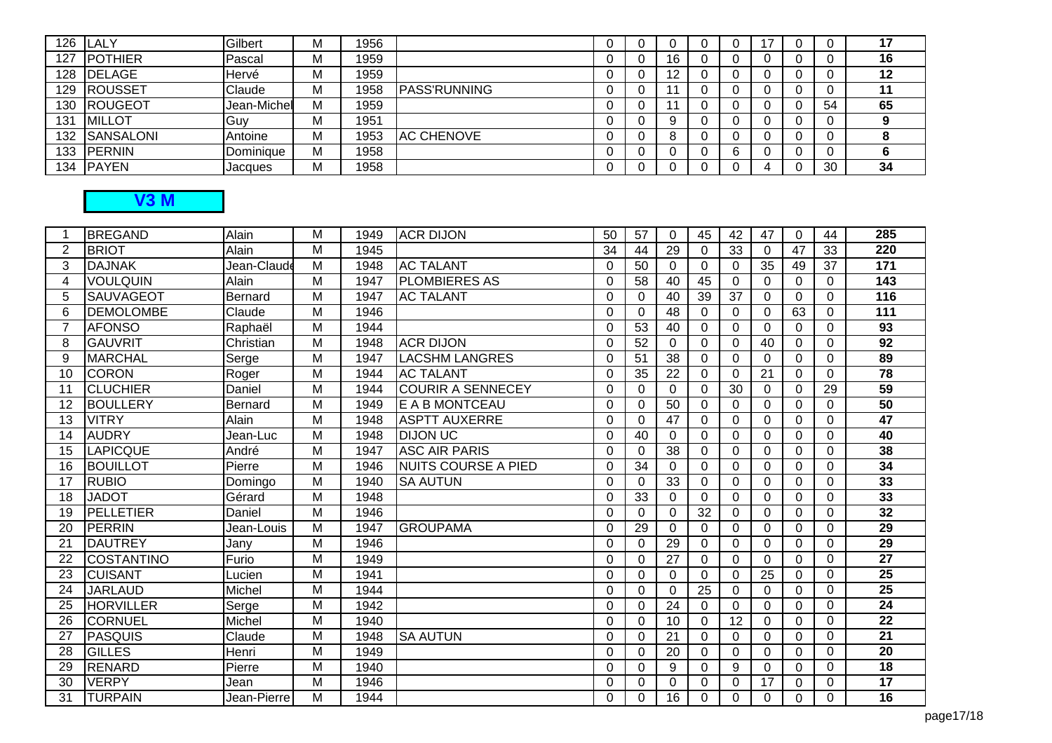| 126 | <b>ILALY</b>   | Gilbert     | м | 1956 |                     |   |    |   | ־י |    | 17 |
|-----|----------------|-------------|---|------|---------------------|---|----|---|----|----|----|
| 127 | <b>POTHIER</b> | Pascal      | м | 1959 |                     | U | 16 |   |    |    | 16 |
| 128 | <b>DELAGE</b>  | Hervé       | м | 1959 |                     | U | 12 |   |    |    | 12 |
| 129 | <b>ROUSSET</b> | Claude      | М | 1958 | <b>PASS'RUNNING</b> | U |    |   |    |    | 11 |
| 130 | <b>ROUGEOT</b> | Jean-Michel | м | 1959 |                     | υ |    |   |    | 54 | 65 |
| 131 | <b>MILLOT</b>  | Guy         | М | 1951 |                     | υ |    |   |    |    |    |
| 132 | SANSALONI      | Antoine     | М | 1953 | <b>AC CHENOVE</b>   | υ |    |   |    |    |    |
| 133 | <b>PERNIN</b>  | Dominique   | М | 1958 |                     | υ |    | ଳ |    |    |    |
| 134 | <b>PAYEN</b>   | Jacques     | М | 1958 |                     | 0 |    |   |    | 30 | 34 |

## **V3 M**

| 1              | <b>BREGAND</b>    | Alain       | M              | 1949 | <b>ACR DIJON</b>           | 50          | 57       | $\Omega$        | 45       | 42          | 47       | $\Omega$ | 44              | 285             |
|----------------|-------------------|-------------|----------------|------|----------------------------|-------------|----------|-----------------|----------|-------------|----------|----------|-----------------|-----------------|
| $\overline{2}$ | <b>BRIOT</b>      | Alain       | M              | 1945 |                            | 34          | 44       | 29              | $\Omega$ | 33          | $\Omega$ | 47       | 33              | 220             |
| 3              | <b>DAJNAK</b>     | Jean-Claude | $\overline{M}$ | 1948 | <b>AC TALANT</b>           | $\Omega$    | 50       | $\Omega$        | $\Omega$ | 0           | 35       | 49       | $\overline{37}$ | 171             |
| 4              | <b>VOULQUIN</b>   | Alain       | $\overline{M}$ | 1947 | <b>PLOMBIERES AS</b>       | $\Omega$    | 58       | 40              | 45       | $\Omega$    | $\Omega$ | $\Omega$ | 0               | 143             |
| 5              | <b>SAUVAGEOT</b>  | Bernard     | M              | 1947 | <b>AC TALANT</b>           | 0           | 0        | 40              | 39       | 37          | $\Omega$ | $\Omega$ | 0               | 116             |
| 6              | <b>DEMOLOMBE</b>  | Claude      | M              | 1946 |                            | $\Omega$    | $\Omega$ | 48              | $\Omega$ | $\Omega$    | $\Omega$ | 63       | 0               | 111             |
| $\overline{7}$ | <b>AFONSO</b>     | Raphaël     | M              | 1944 |                            | $\Omega$    | 53       | 40              | $\Omega$ | $\Omega$    | $\Omega$ | $\Omega$ | $\Omega$        | $\overline{93}$ |
| 8              | <b>GAUVRIT</b>    | Christian   | M              | 1948 | <b>ACR DIJON</b>           | $\Omega$    | 52       | $\Omega$        | $\Omega$ | 0           | 40       | $\Omega$ | 0               | $\overline{92}$ |
| 9              | <b>MARCHAL</b>    | Serge       | $\overline{M}$ | 1947 | <b>LACSHM LANGRES</b>      | $\Omega$    | 51       | $\overline{38}$ | $\Omega$ | $\mathbf 0$ | $\Omega$ | $\Omega$ | 0               | 89              |
| 10             | <b>CORON</b>      | Roger       | M              | 1944 | <b>AC TALANT</b>           | $\Omega$    | 35       | 22              | $\Omega$ | $\Omega$    | 21       | $\Omega$ | $\Omega$        | 78              |
| 11             | <b>CLUCHIER</b>   | Daniel      | M              | 1944 | <b>COURIR A SENNECEY</b>   | $\Omega$    | $\Omega$ | $\Omega$        | $\Omega$ | 30          | $\Omega$ | $\Omega$ | 29              | $\overline{59}$ |
| 12             | <b>BOULLERY</b>   | Bernard     | M              | 1949 | E A B MONTCEAU             | $\Omega$    | $\Omega$ | 50              | $\Omega$ | $\Omega$    | $\Omega$ | $\Omega$ | 0               | 50              |
| 13             | <b>VITRY</b>      | Alain       | M              | 1948 | <b>ASPTT AUXERRE</b>       | $\Omega$    | 0        | 47              | 0        | 0           | 0        | $\Omega$ | 0               | 47              |
| 14             | <b>AUDRY</b>      | Jean-Luc    | M              | 1948 | <b>DIJON UC</b>            | 0           | 40       | $\Omega$        | $\Omega$ | 0           | $\Omega$ | $\Omega$ | 0               | 40              |
| 15             | <b>LAPICQUE</b>   | André       | M              | 1947 | <b>ASC AIR PARIS</b>       | $\Omega$    | $\Omega$ | 38              | $\Omega$ | $\Omega$    | $\Omega$ | $\Omega$ | 0               | $\overline{38}$ |
| 16             | <b>BOUILLOT</b>   | Pierre      | M              | 1946 | <b>NUITS COURSE A PIED</b> | $\Omega$    | 34       | $\Omega$        | $\Omega$ | $\Omega$    | $\Omega$ | $\Omega$ | 0               | $\overline{34}$ |
| 17             | <b>RUBIO</b>      | Domingo     | $\overline{M}$ | 1940 | <b>SA AUTUN</b>            | $\Omega$    | $\Omega$ | 33              | $\Omega$ | $\Omega$    | 0        | $\Omega$ | $\Omega$        | 33              |
| 18             | <b>JADOT</b>      | Gérard      | M              | 1948 |                            | $\Omega$    | 33       | 0               | $\Omega$ | 0           | 0        | $\Omega$ | 0               | 33              |
| 19             | PELLETIER         | Daniel      | M              | 1946 |                            | $\mathbf 0$ | $\Omega$ | $\Omega$        | 32       | $\Omega$    | $\Omega$ | $\Omega$ | 0               | $\overline{32}$ |
| 20             | <b>PERRIN</b>     | Jean-Louis  | M              | 1947 | <b>GROUPAMA</b>            | $\Omega$    | 29       | $\Omega$        | $\Omega$ | $\Omega$    | $\Omega$ | $\Omega$ | $\Omega$        | 29              |
| 21             | <b>DAUTREY</b>    | Jany        | M              | 1946 |                            | $\Omega$    | $\Omega$ | 29              | $\Omega$ | $\Omega$    | 0        | $\Omega$ | 0               | 29              |
| 22             | <b>COSTANTINO</b> | Furio       | M              | 1949 |                            | $\Omega$    | $\Omega$ | 27              | $\Omega$ | $\Omega$    | $\Omega$ | $\Omega$ | $\Omega$        | $\overline{27}$ |
| 23             | <b>CUISANT</b>    | Lucien      | M              | 1941 |                            | 0           | 0        | 0               | $\Omega$ | 0           | 25       | $\Omega$ | $\Omega$        | $\overline{25}$ |
| 24             | <b>JARLAUD</b>    | Michel      | M              | 1944 |                            | $\Omega$    | $\Omega$ | $\Omega$        | 25       | $\Omega$    | $\Omega$ | $\Omega$ | 0               | $\overline{25}$ |
| 25             | <b>HORVILLER</b>  | Serge       | M              | 1942 |                            | $\Omega$    | $\Omega$ | 24              | $\Omega$ | $\Omega$    | $\Omega$ | $\Omega$ | $\Omega$        | 24              |
| 26             | <b>CORNUEL</b>    | Michel      | M              | 1940 |                            | $\Omega$    | $\Omega$ | 10              | $\Omega$ | 12          | $\Omega$ | $\Omega$ | 0               | $\overline{22}$ |
| 27             | <b>PASQUIS</b>    | Claude      | M              | 1948 | <b>SA AUTUN</b>            | $\Omega$    | $\Omega$ | 21              | $\Omega$ | $\Omega$    | 0        | $\Omega$ | 0               | 21              |
| 28             | <b>GILLES</b>     | Henri       | M              | 1949 |                            | $\Omega$    | $\Omega$ | 20              | $\Omega$ | $\Omega$    | $\Omega$ | $\Omega$ | 0               | 20              |
| 29             | <b>RENARD</b>     | Pierre      | M              | 1940 |                            | $\Omega$    | $\Omega$ | 9               | $\Omega$ | 9           | $\Omega$ | $\Omega$ | 0               | 18              |
| 30             | <b>VERPY</b>      | Jean        | M              | 1946 |                            | $\Omega$    | $\Omega$ | 0               | $\Omega$ | 0           | 17       | $\Omega$ | 0               | 17              |
| 31             | <b>TURPAIN</b>    | Jean-Pierre | M              | 1944 |                            | 0           | 0        | 16              | 0        | 0           | 0        | $\Omega$ | 0               | $\overline{16}$ |